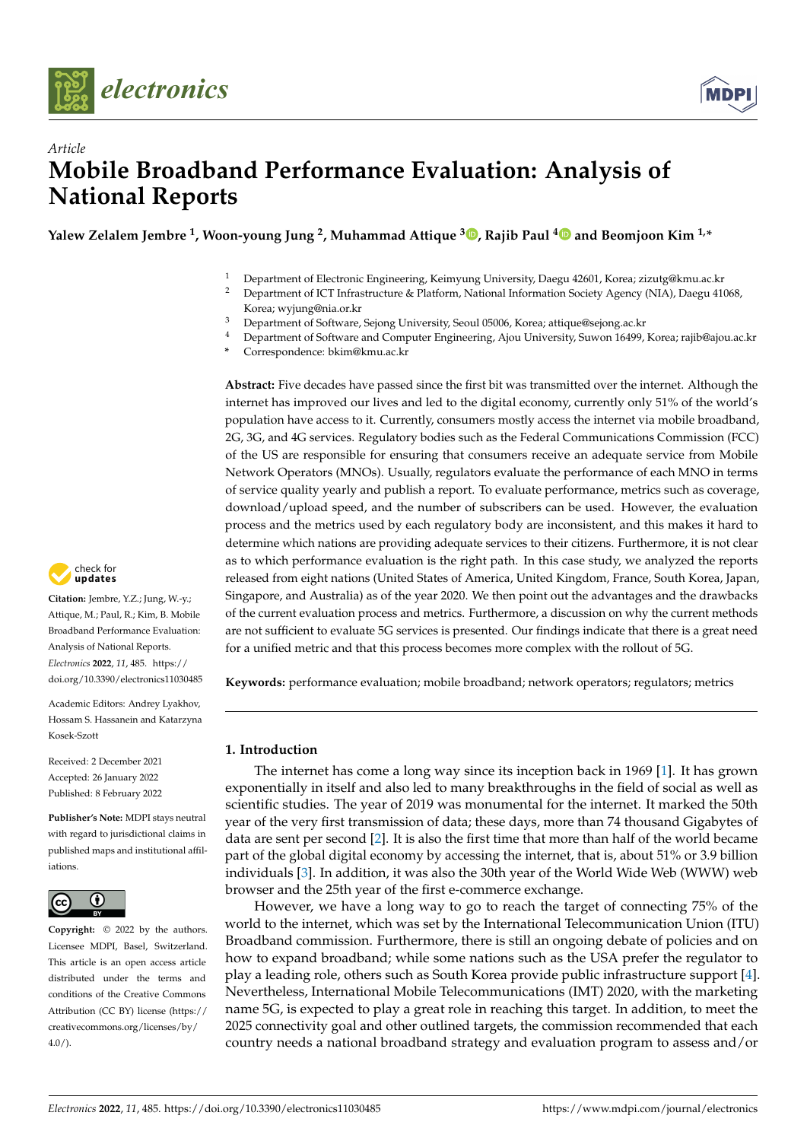



# *Article* **Mobile Broadband Performance Evaluation: Analysis of National Reports**

**Yalew Zelalem Jembre <sup>1</sup> , Woon-young Jung <sup>2</sup> , Muhammad Attique <sup>3</sup> [,](https://orcid.org/0000-0002-7237-180X) Rajib Paul [4](https://orcid.org/0000-0003-0963-3667) and Beomjoon Kim 1,\***

- <sup>1</sup> Department of Electronic Engineering, Keimyung University, Daegu 42601, Korea; zizutg@kmu.ac.kr<br><sup>2</sup> Department of JCT Infrastructure & Platform Mational Information Society Agency (MLA), Daegu 416
- <sup>2</sup> Department of ICT Infrastructure & Platform, National Information Society Agency (NIA), Daegu 41068, Korea; wyjung@nia.or.kr
- <sup>3</sup> Department of Software, Sejong University, Seoul 05006, Korea; attique@sejong.ac.kr
- <sup>4</sup> Department of Software and Computer Engineering, Ajou University, Suwon 16499, Korea; rajib@ajou.ac.kr
- **\*** Correspondence: bkim@kmu.ac.kr

**Abstract:** Five decades have passed since the first bit was transmitted over the internet. Although the internet has improved our lives and led to the digital economy, currently only 51% of the world's population have access to it. Currently, consumers mostly access the internet via mobile broadband, 2G, 3G, and 4G services. Regulatory bodies such as the Federal Communications Commission (FCC) of the US are responsible for ensuring that consumers receive an adequate service from Mobile Network Operators (MNOs). Usually, regulators evaluate the performance of each MNO in terms of service quality yearly and publish a report. To evaluate performance, metrics such as coverage, download/upload speed, and the number of subscribers can be used. However, the evaluation process and the metrics used by each regulatory body are inconsistent, and this makes it hard to determine which nations are providing adequate services to their citizens. Furthermore, it is not clear as to which performance evaluation is the right path. In this case study, we analyzed the reports released from eight nations (United States of America, United Kingdom, France, South Korea, Japan, Singapore, and Australia) as of the year 2020. We then point out the advantages and the drawbacks of the current evaluation process and metrics. Furthermore, a discussion on why the current methods are not sufficient to evaluate 5G services is presented. Our findings indicate that there is a great need for a unified metric and that this process becomes more complex with the rollout of 5G.

**Keywords:** performance evaluation; mobile broadband; network operators; regulators; metrics

## **1. Introduction**

The internet has come a long way since its inception back in 1969 [\[1\]](#page-17-0). It has grown exponentially in itself and also led to many breakthroughs in the field of social as well as scientific studies. The year of 2019 was monumental for the internet. It marked the 50th year of the very first transmission of data; these days, more than 74 thousand Gigabytes of data are sent per second [\[2\]](#page-17-1). It is also the first time that more than half of the world became part of the global digital economy by accessing the internet, that is, about 51% or 3.9 billion individuals [\[3\]](#page-17-2). In addition, it was also the 30th year of the World Wide Web (WWW) web browser and the 25th year of the first e-commerce exchange.

However, we have a long way to go to reach the target of connecting 75% of the world to the internet, which was set by the International Telecommunication Union (ITU) Broadband commission. Furthermore, there is still an ongoing debate of policies and on how to expand broadband; while some nations such as the USA prefer the regulator to play a leading role, others such as South Korea provide public infrastructure support [\[4\]](#page-17-3). Nevertheless, International Mobile Telecommunications (IMT) 2020, with the marketing name 5G, is expected to play a great role in reaching this target. In addition, to meet the 2025 connectivity goal and other outlined targets, the commission recommended that each country needs a national broadband strategy and evaluation program to assess and/or



**Citation:** Jembre, Y.Z.; Jung, W.-y.; Attique, M.; Paul, R.; Kim, B. Mobile Broadband Performance Evaluation: Analysis of National Reports. *Electronics* **2022**, *11*, 485. [https://](https://doi.org/10.3390/electronics11030485) [doi.org/10.3390/electronics11030485](https://doi.org/10.3390/electronics11030485)

Academic Editors: Andrey Lyakhov, Hossam S. Hassanein and Katarzyna Kosek-Szott

Received: 2 December 2021 Accepted: 26 January 2022 Published: 8 February 2022

**Publisher's Note:** MDPI stays neutral with regard to jurisdictional claims in published maps and institutional affiliations.



**Copyright:** © 2022 by the authors. Licensee MDPI, Basel, Switzerland. This article is an open access article distributed under the terms and conditions of the Creative Commons Attribution (CC BY) license [\(https://](https://creativecommons.org/licenses/by/4.0/) [creativecommons.org/licenses/by/](https://creativecommons.org/licenses/by/4.0/)  $4.0/$ ).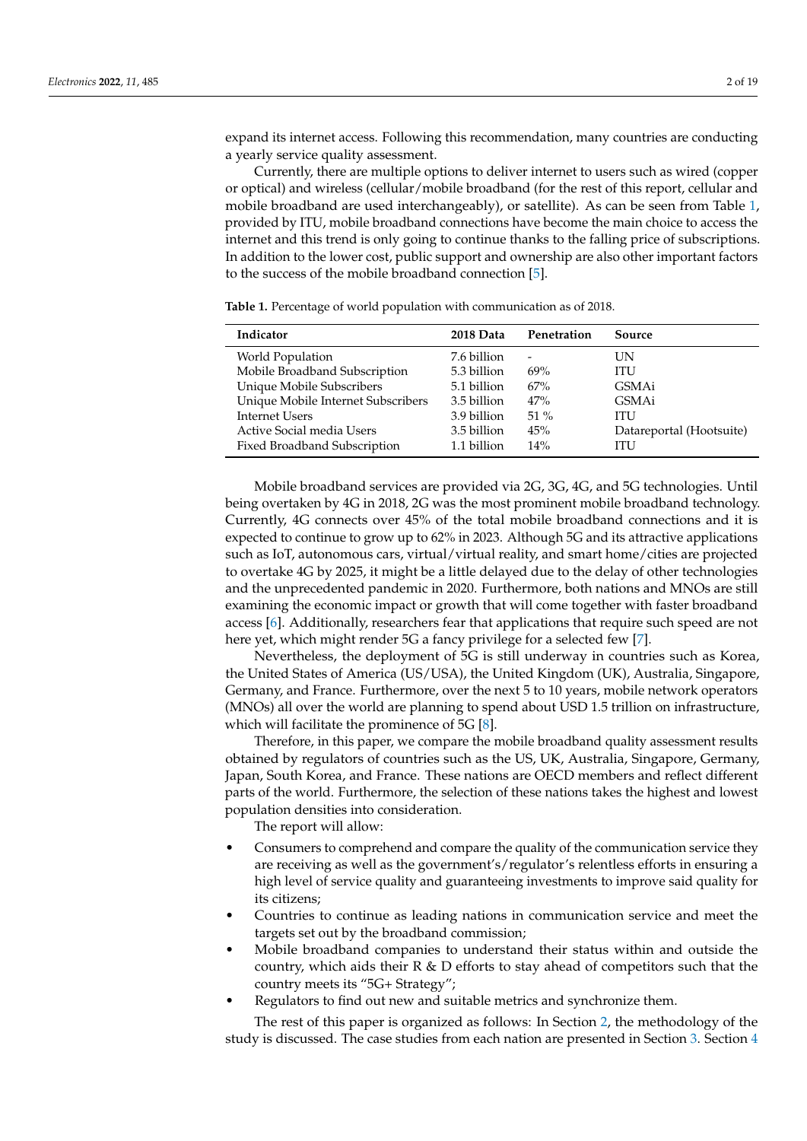expand its internet access. Following this recommendation, many countries are conducting a yearly service quality assessment.

Currently, there are multiple options to deliver internet to users such as wired (copper or optical) and wireless (cellular/mobile broadband (for the rest of this report, cellular and mobile broadband are used interchangeably), or satellite). As can be seen from Table [1,](#page-1-0) provided by ITU, mobile broadband connections have become the main choice to access the internet and this trend is only going to continue thanks to the falling price of subscriptions. In addition to the lower cost, public support and ownership are also other important factors to the success of the mobile broadband connection [\[5\]](#page-17-4).

<span id="page-1-0"></span>**Table 1.** Percentage of world population with communication as of 2018.

| Indicator                          | 2018 Data   | Penetration | Source                   |  |  |
|------------------------------------|-------------|-------------|--------------------------|--|--|
| World Population                   | 7.6 billion | -           | UN                       |  |  |
| Mobile Broadband Subscription      | 5.3 billion | 69%         | ITU                      |  |  |
| Unique Mobile Subscribers          | 5.1 billion | 67%         | GSMAi                    |  |  |
| Unique Mobile Internet Subscribers | 3.5 billion | 47%         | GSMAi                    |  |  |
| Internet Users                     | 3.9 billion | $51\%$      | ITU                      |  |  |
| Active Social media Users          | 3.5 billion | 45%         | Datareportal (Hootsuite) |  |  |
| Fixed Broadband Subscription       | 1.1 billion | 14%         | ITU                      |  |  |

Mobile broadband services are provided via 2G, 3G, 4G, and 5G technologies. Until being overtaken by 4G in 2018, 2G was the most prominent mobile broadband technology. Currently, 4G connects over 45% of the total mobile broadband connections and it is expected to continue to grow up to 62% in 2023. Although 5G and its attractive applications such as IoT, autonomous cars, virtual/virtual reality, and smart home/cities are projected to overtake 4G by 2025, it might be a little delayed due to the delay of other technologies and the unprecedented pandemic in 2020. Furthermore, both nations and MNOs are still examining the economic impact or growth that will come together with faster broadband access [\[6\]](#page-17-5). Additionally, researchers fear that applications that require such speed are not here yet, which might render 5G a fancy privilege for a selected few [\[7\]](#page-17-6).

Nevertheless, the deployment of 5G is still underway in countries such as Korea, the United States of America (US/USA), the United Kingdom (UK), Australia, Singapore, Germany, and France. Furthermore, over the next 5 to 10 years, mobile network operators (MNOs) all over the world are planning to spend about USD 1.5 trillion on infrastructure, which will facilitate the prominence of 5G [\[8\]](#page-17-7).

Therefore, in this paper, we compare the mobile broadband quality assessment results obtained by regulators of countries such as the US, UK, Australia, Singapore, Germany, Japan, South Korea, and France. These nations are OECD members and reflect different parts of the world. Furthermore, the selection of these nations takes the highest and lowest population densities into consideration.

The report will allow:

- Consumers to comprehend and compare the quality of the communication service they are receiving as well as the government's/regulator's relentless efforts in ensuring a high level of service quality and guaranteeing investments to improve said quality for its citizens;
- Countries to continue as leading nations in communication service and meet the targets set out by the broadband commission;
- Mobile broadband companies to understand their status within and outside the country, which aids their  $R \& D$  efforts to stay ahead of competitors such that the country meets its "5G+ Strategy";
- Regulators to find out new and suitable metrics and synchronize them.

The rest of this paper is organized as follows: In Section [2,](#page-2-0) the methodology of the study is discussed. The case studies from each nation are presented in Section [3.](#page-2-1) Section [4](#page-10-0)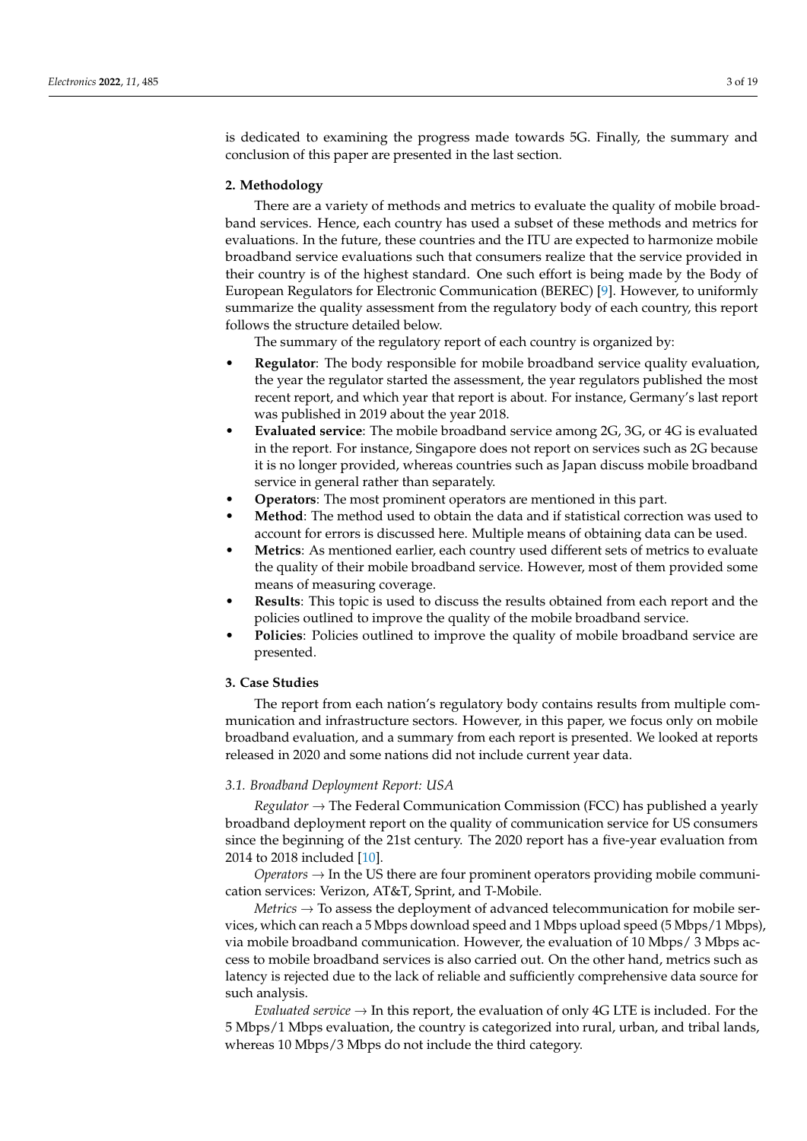is dedicated to examining the progress made towards 5G. Finally, the summary and conclusion of this paper are presented in the last section.

#### <span id="page-2-0"></span>**2. Methodology**

There are a variety of methods and metrics to evaluate the quality of mobile broadband services. Hence, each country has used a subset of these methods and metrics for evaluations. In the future, these countries and the ITU are expected to harmonize mobile broadband service evaluations such that consumers realize that the service provided in their country is of the highest standard. One such effort is being made by the Body of European Regulators for Electronic Communication (BEREC) [\[9\]](#page-17-8). However, to uniformly summarize the quality assessment from the regulatory body of each country, this report follows the structure detailed below.

The summary of the regulatory report of each country is organized by:

- **Regulator**: The body responsible for mobile broadband service quality evaluation, the year the regulator started the assessment, the year regulators published the most recent report, and which year that report is about. For instance, Germany's last report was published in 2019 about the year 2018.
- **Evaluated service**: The mobile broadband service among 2G, 3G, or 4G is evaluated in the report. For instance, Singapore does not report on services such as 2G because it is no longer provided, whereas countries such as Japan discuss mobile broadband service in general rather than separately.
- **Operators**: The most prominent operators are mentioned in this part.
- **Method**: The method used to obtain the data and if statistical correction was used to account for errors is discussed here. Multiple means of obtaining data can be used.
- **Metrics**: As mentioned earlier, each country used different sets of metrics to evaluate the quality of their mobile broadband service. However, most of them provided some means of measuring coverage.
- **Results**: This topic is used to discuss the results obtained from each report and the policies outlined to improve the quality of the mobile broadband service.
- **Policies**: Policies outlined to improve the quality of mobile broadband service are presented.

# <span id="page-2-1"></span>**3. Case Studies**

The report from each nation's regulatory body contains results from multiple communication and infrastructure sectors. However, in this paper, we focus only on mobile broadband evaluation, and a summary from each report is presented. We looked at reports released in 2020 and some nations did not include current year data.

#### *3.1. Broadband Deployment Report: USA*

*Regulator* → The Federal Communication Commission (FCC) has published a yearly broadband deployment report on the quality of communication service for US consumers since the beginning of the 21st century. The 2020 report has a five-year evaluation from 2014 to 2018 included [\[10\]](#page-17-9).

*Operators* → In the US there are four prominent operators providing mobile communication services: Verizon, AT&T, Sprint, and T-Mobile.

*Metrics* → To assess the deployment of advanced telecommunication for mobile services, which can reach a 5 Mbps download speed and 1 Mbps upload speed (5 Mbps/1 Mbps), via mobile broadband communication. However, the evaluation of 10 Mbps/ 3 Mbps access to mobile broadband services is also carried out. On the other hand, metrics such as latency is rejected due to the lack of reliable and sufficiently comprehensive data source for such analysis.

*Evaluated service*  $\rightarrow$  In this report, the evaluation of only 4G LTE is included. For the 5 Mbps/1 Mbps evaluation, the country is categorized into rural, urban, and tribal lands, whereas 10 Mbps/3 Mbps do not include the third category.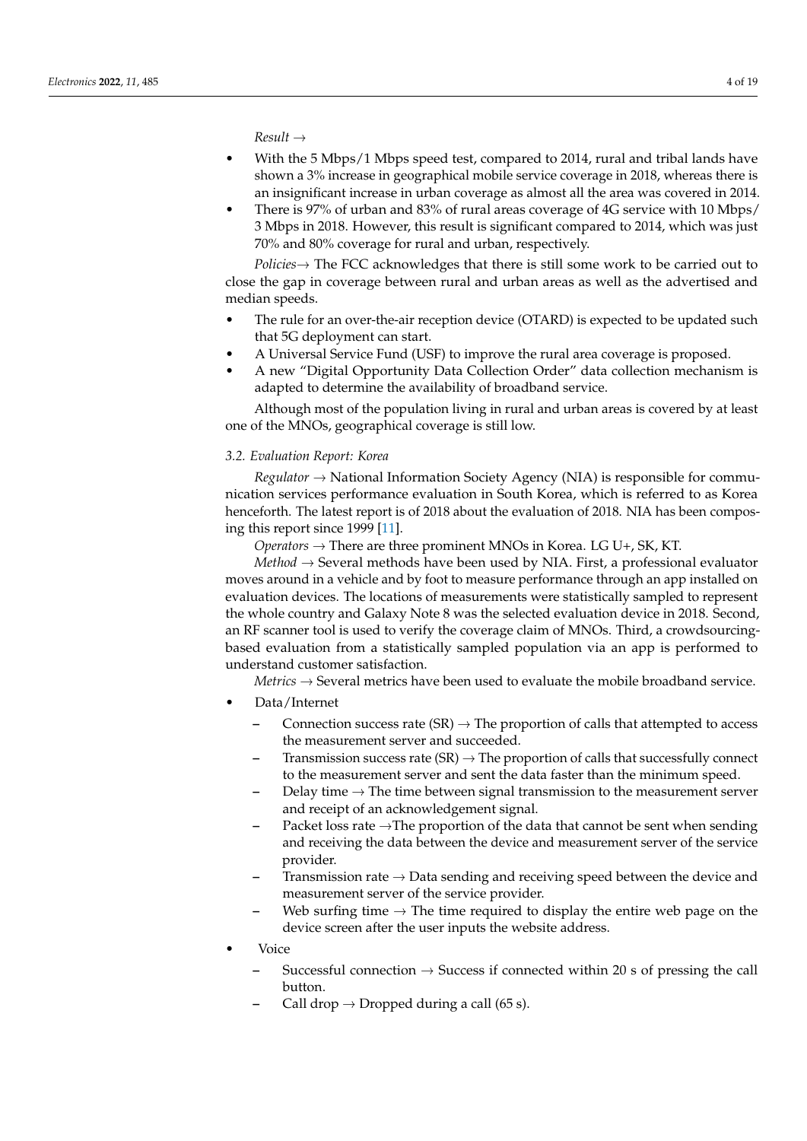*Result* →

- With the 5 Mbps/1 Mbps speed test, compared to 2014, rural and tribal lands have shown a 3% increase in geographical mobile service coverage in 2018, whereas there is an insignificant increase in urban coverage as almost all the area was covered in 2014.
- There is 97% of urban and 83% of rural areas coverage of 4G service with 10 Mbps/ 3 Mbps in 2018. However, this result is significant compared to 2014, which was just 70% and 80% coverage for rural and urban, respectively.

*Policies*→ The FCC acknowledges that there is still some work to be carried out to close the gap in coverage between rural and urban areas as well as the advertised and median speeds.

- The rule for an over-the-air reception device (OTARD) is expected to be updated such that 5G deployment can start.
- A Universal Service Fund (USF) to improve the rural area coverage is proposed.
- A new "Digital Opportunity Data Collection Order" data collection mechanism is adapted to determine the availability of broadband service.

Although most of the population living in rural and urban areas is covered by at least one of the MNOs, geographical coverage is still low.

## *3.2. Evaluation Report: Korea*

*Regulator* → National Information Society Agency (NIA) is responsible for communication services performance evaluation in South Korea, which is referred to as Korea henceforth. The latest report is of 2018 about the evaluation of 2018. NIA has been composing this report since 1999 [\[11\]](#page-17-10).

*Operators*  $\rightarrow$  There are three prominent MNOs in Korea. LG U+, SK, KT.

*Method* → Several methods have been used by NIA. First, a professional evaluator moves around in a vehicle and by foot to measure performance through an app installed on evaluation devices. The locations of measurements were statistically sampled to represent the whole country and Galaxy Note 8 was the selected evaluation device in 2018. Second, an RF scanner tool is used to verify the coverage claim of MNOs. Third, a crowdsourcingbased evaluation from a statistically sampled population via an app is performed to understand customer satisfaction.

*Metrics* → Several metrics have been used to evaluate the mobile broadband service.

- Data/Internet
	- Connection success rate (SR)  $\rightarrow$  The proportion of calls that attempted to access the measurement server and succeeded.
	- Transmission success rate  $(SR) \rightarrow$  The proportion of calls that successfully connect to the measurement server and sent the data faster than the minimum speed.
	- **–** Delay time → The time between signal transmission to the measurement server and receipt of an acknowledgement signal.
	- **–** Packet loss rate →The proportion of the data that cannot be sent when sending and receiving the data between the device and measurement server of the service provider.
	- **–** Transmission rate → Data sending and receiving speed between the device and measurement server of the service provider.
	- Web surfing time  $\rightarrow$  The time required to display the entire web page on the device screen after the user inputs the website address.
- Voice
	- **–** Successful connection → Success if connected within 20 s of pressing the call button.
	- Call drop  $\rightarrow$  Dropped during a call (65 s).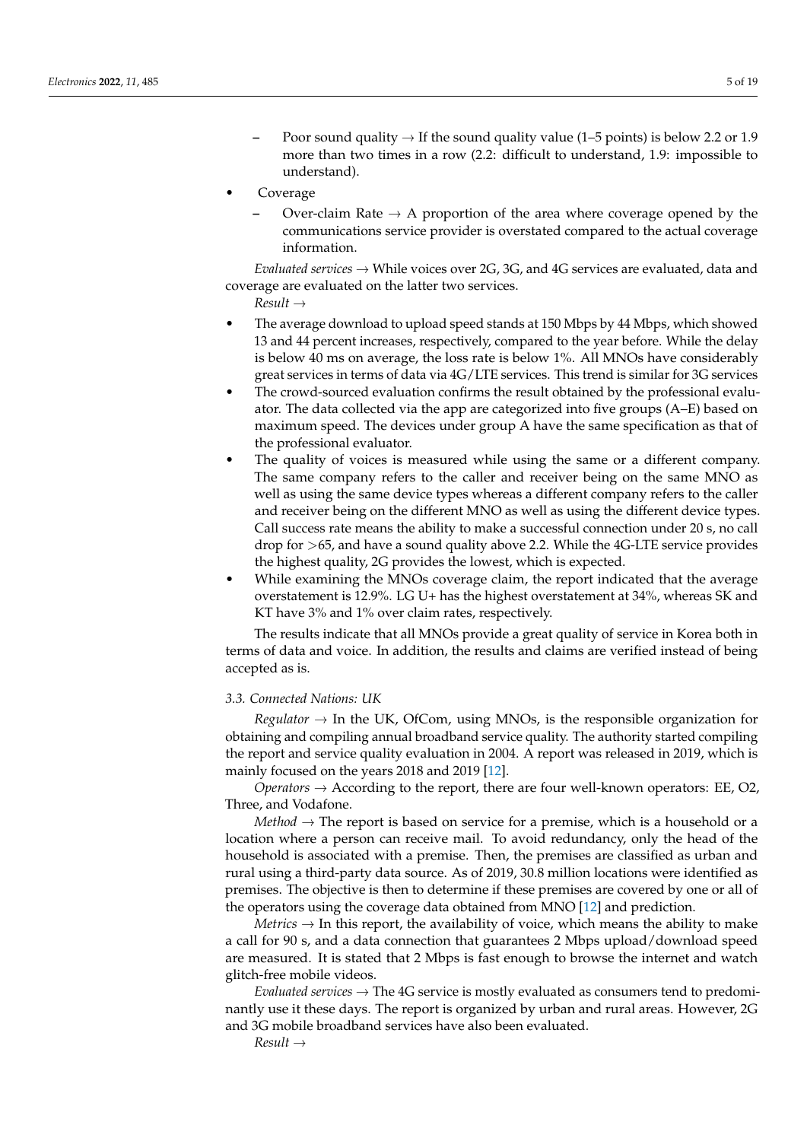- Poor sound quality  $\rightarrow$  If the sound quality value (1–5 points) is below 2.2 or 1.9 more than two times in a row (2.2: difficult to understand, 1.9: impossible to understand).
- **Coverage** 
	- Over-claim Rate  $\rightarrow$  A proportion of the area where coverage opened by the communications service provider is overstated compared to the actual coverage information.

*Evaluated services*  $\rightarrow$  While voices over 2G, 3G, and 4G services are evaluated, data and coverage are evaluated on the latter two services.

*Result* →

- The average download to upload speed stands at 150 Mbps by 44 Mbps, which showed 13 and 44 percent increases, respectively, compared to the year before. While the delay is below 40 ms on average, the loss rate is below 1%. All MNOs have considerably great services in terms of data via 4G/LTE services. This trend is similar for 3G services
- The crowd-sourced evaluation confirms the result obtained by the professional evaluator. The data collected via the app are categorized into five groups (A–E) based on maximum speed. The devices under group A have the same specification as that of the professional evaluator.
- The quality of voices is measured while using the same or a different company. The same company refers to the caller and receiver being on the same MNO as well as using the same device types whereas a different company refers to the caller and receiver being on the different MNO as well as using the different device types. Call success rate means the ability to make a successful connection under 20 s, no call drop for >65, and have a sound quality above 2.2. While the 4G-LTE service provides the highest quality, 2G provides the lowest, which is expected.
- While examining the MNOs coverage claim, the report indicated that the average overstatement is 12.9%. LG U+ has the highest overstatement at 34%, whereas SK and KT have 3% and 1% over claim rates, respectively.

The results indicate that all MNOs provide a great quality of service in Korea both in terms of data and voice. In addition, the results and claims are verified instead of being accepted as is.

#### *3.3. Connected Nations: UK*

*Regulator*  $\rightarrow$  In the UK, OfCom, using MNOs, is the responsible organization for obtaining and compiling annual broadband service quality. The authority started compiling the report and service quality evaluation in 2004. A report was released in 2019, which is mainly focused on the years 2018 and 2019 [\[12\]](#page-17-11).

*Operators* → According to the report, there are four well-known operators: EE, O2, Three, and Vodafone.

*Method*  $\rightarrow$  The report is based on service for a premise, which is a household or a location where a person can receive mail. To avoid redundancy, only the head of the household is associated with a premise. Then, the premises are classified as urban and rural using a third-party data source. As of 2019, 30.8 million locations were identified as premises. The objective is then to determine if these premises are covered by one or all of the operators using the coverage data obtained from MNO [\[12\]](#page-17-11) and prediction.

*Metrics*  $\rightarrow$  In this report, the availability of voice, which means the ability to make a call for 90 s, and a data connection that guarantees 2 Mbps upload/download speed are measured. It is stated that 2 Mbps is fast enough to browse the internet and watch glitch-free mobile videos.

*Evaluated services*  $\rightarrow$  The 4G service is mostly evaluated as consumers tend to predominantly use it these days. The report is organized by urban and rural areas. However, 2G and 3G mobile broadband services have also been evaluated.

*Result* →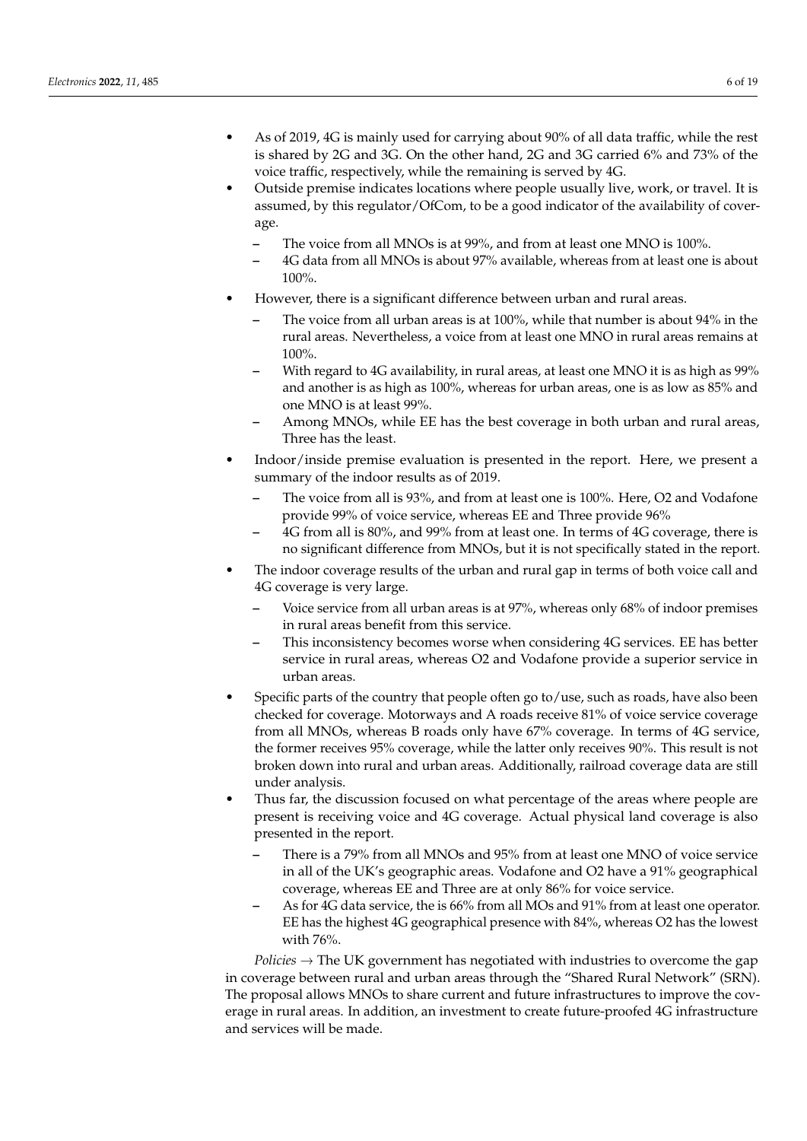- As of 2019, 4G is mainly used for carrying about 90% of all data traffic, while the rest is shared by 2G and 3G. On the other hand, 2G and 3G carried 6% and 73% of the voice traffic, respectively, while the remaining is served by 4G.
- Outside premise indicates locations where people usually live, work, or travel. It is assumed, by this regulator/OfCom, to be a good indicator of the availability of coverage.
	- **–** The voice from all MNOs is at 99%, and from at least one MNO is 100%.
	- **–** 4G data from all MNOs is about 97% available, whereas from at least one is about 100%.
- However, there is a significant difference between urban and rural areas.
	- **–** The voice from all urban areas is at 100%, while that number is about 94% in the rural areas. Nevertheless, a voice from at least one MNO in rural areas remains at 100%.
	- **–** With regard to 4G availability, in rural areas, at least one MNO it is as high as 99% and another is as high as 100%, whereas for urban areas, one is as low as 85% and one MNO is at least 99%.
	- **–** Among MNOs, while EE has the best coverage in both urban and rural areas, Three has the least.
- Indoor/inside premise evaluation is presented in the report. Here, we present a summary of the indoor results as of 2019.
	- **–** The voice from all is 93%, and from at least one is 100%. Here, O2 and Vodafone provide 99% of voice service, whereas EE and Three provide 96%
	- **–** 4G from all is 80%, and 99% from at least one. In terms of 4G coverage, there is no significant difference from MNOs, but it is not specifically stated in the report.
- The indoor coverage results of the urban and rural gap in terms of both voice call and 4G coverage is very large.
	- **–** Voice service from all urban areas is at 97%, whereas only 68% of indoor premises in rural areas benefit from this service.
	- **–** This inconsistency becomes worse when considering 4G services. EE has better service in rural areas, whereas O2 and Vodafone provide a superior service in urban areas.
- Specific parts of the country that people often go to/use, such as roads, have also been checked for coverage. Motorways and A roads receive 81% of voice service coverage from all MNOs, whereas B roads only have 67% coverage. In terms of 4G service, the former receives 95% coverage, while the latter only receives 90%. This result is not broken down into rural and urban areas. Additionally, railroad coverage data are still under analysis.
- Thus far, the discussion focused on what percentage of the areas where people are present is receiving voice and 4G coverage. Actual physical land coverage is also presented in the report.
	- **–** There is a 79% from all MNOs and 95% from at least one MNO of voice service in all of the UK's geographic areas. Vodafone and O2 have a 91% geographical coverage, whereas EE and Three are at only 86% for voice service.
	- **–** As for 4G data service, the is 66% from all MOs and 91% from at least one operator. EE has the highest 4G geographical presence with 84%, whereas O2 has the lowest with 76%.

*Policies*  $\rightarrow$  The UK government has negotiated with industries to overcome the gap in coverage between rural and urban areas through the "Shared Rural Network" (SRN). The proposal allows MNOs to share current and future infrastructures to improve the coverage in rural areas. In addition, an investment to create future-proofed 4G infrastructure and services will be made.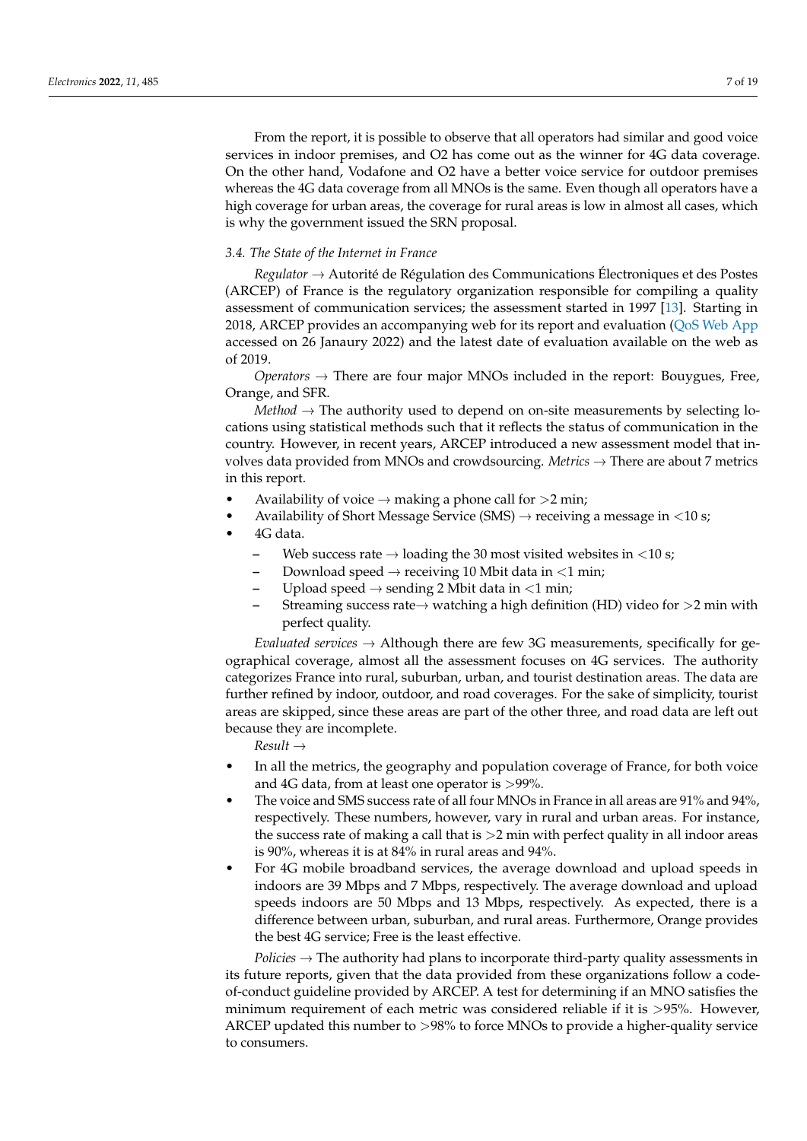From the report, it is possible to observe that all operators had similar and good voice services in indoor premises, and O2 has come out as the winner for 4G data coverage. On the other hand, Vodafone and O2 have a better voice service for outdoor premises whereas the 4G data coverage from all MNOs is the same. Even though all operators have a high coverage for urban areas, the coverage for rural areas is low in almost all cases, which is why the government issued the SRN proposal.

#### *3.4. The State of the Internet in France*

*Regulator* → Autorité de Régulation des Communications Électroniques et des Postes (ARCEP) of France is the regulatory organization responsible for compiling a quality assessment of communication services; the assessment started in 1997 [\[13\]](#page-17-12). Starting in 2018, ARCEP provides an accompanying web for its report and evaluation [\(QoS Web App](https://www.monreseaumobile.fr) accessed on 26 Janaury 2022) and the latest date of evaluation available on the web as of 2019.

*Operators* → There are four major MNOs included in the report: Bouygues, Free, Orange, and SFR.

*Method*  $\rightarrow$  The authority used to depend on on-site measurements by selecting locations using statistical methods such that it reflects the status of communication in the country. However, in recent years, ARCEP introduced a new assessment model that involves data provided from MNOs and crowdsourcing. *Metrics* → There are about 7 metrics in this report.

- Availability of voice  $\rightarrow$  making a phone call for  $>2$  min;
- Availability of Short Message Service (SMS)  $\rightarrow$  receiving a message in <10 s;
- 4G data.
	- Web success rate  $\rightarrow$  loading the 30 most visited websites in <10 s;
	- Download speed  $\rightarrow$  receiving 10 Mbit data in  $\leq$ 1 min;
	- Upload speed  $\rightarrow$  sending 2 Mbit data in  $\leq$ 1 min;
	- **–** Streaming success rate→ watching a high definition (HD) video for >2 min with perfect quality.

*Evaluated services* → Although there are few 3G measurements, specifically for geographical coverage, almost all the assessment focuses on 4G services. The authority categorizes France into rural, suburban, urban, and tourist destination areas. The data are further refined by indoor, outdoor, and road coverages. For the sake of simplicity, tourist areas are skipped, since these areas are part of the other three, and road data are left out because they are incomplete.

*Result* →

- In all the metrics, the geography and population coverage of France, for both voice and 4G data, from at least one operator is >99%.
- The voice and SMS success rate of all four MNOs in France in all areas are 91% and 94%, respectively. These numbers, however, vary in rural and urban areas. For instance, the success rate of making a call that is  $>2$  min with perfect quality in all indoor areas is 90%, whereas it is at 84% in rural areas and 94%.
- For 4G mobile broadband services, the average download and upload speeds in indoors are 39 Mbps and 7 Mbps, respectively. The average download and upload speeds indoors are 50 Mbps and 13 Mbps, respectively. As expected, there is a difference between urban, suburban, and rural areas. Furthermore, Orange provides the best 4G service; Free is the least effective.

*Policies* → The authority had plans to incorporate third-party quality assessments in its future reports, given that the data provided from these organizations follow a codeof-conduct guideline provided by ARCEP. A test for determining if an MNO satisfies the minimum requirement of each metric was considered reliable if it is >95%. However, ARCEP updated this number to >98% to force MNOs to provide a higher-quality service to consumers.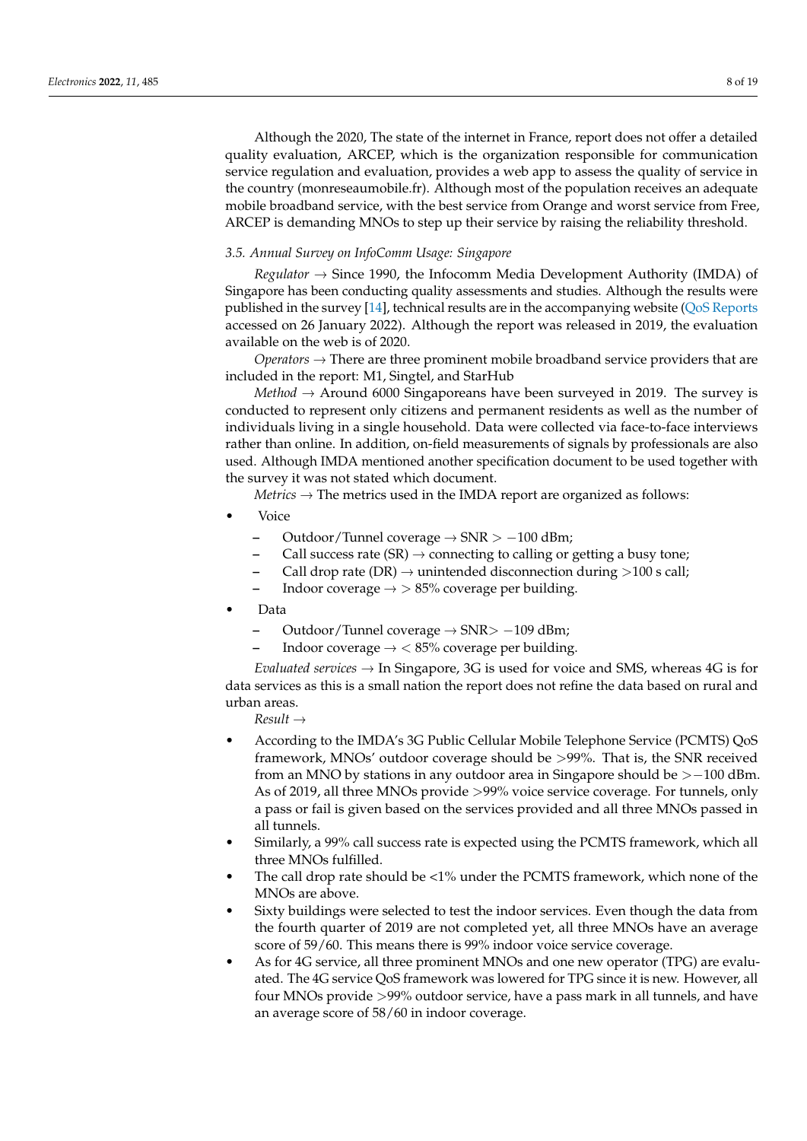Although the 2020, The state of the internet in France, report does not offer a detailed quality evaluation, ARCEP, which is the organization responsible for communication service regulation and evaluation, provides a web app to assess the quality of service in the country (monreseaumobile.fr). Although most of the population receives an adequate mobile broadband service, with the best service from Orange and worst service from Free, ARCEP is demanding MNOs to step up their service by raising the reliability threshold.

#### *3.5. Annual Survey on InfoComm Usage: Singapore*

*Regulator* → Since 1990, the Infocomm Media Development Authority (IMDA) of Singapore has been conducting quality assessments and studies. Although the results were published in the survey [\[14\]](#page-17-13), technical results are in the accompanying website [\(QoS Reports](https://www.imda.gov.sg/regulations-and-licensing-listing/dealer-and-equipment-registration-framework/compliance-to-imda-standards/Quality-of-Service/quality-of-service-reports) accessed on 26 January 2022). Although the report was released in 2019, the evaluation available on the web is of 2020.

*Operators*  $\rightarrow$  There are three prominent mobile broadband service providers that are included in the report: M1, Singtel, and StarHub

*Method*  $\rightarrow$  Around 6000 Singaporeans have been surveyed in 2019. The survey is conducted to represent only citizens and permanent residents as well as the number of individuals living in a single household. Data were collected via face-to-face interviews rather than online. In addition, on-field measurements of signals by professionals are also used. Although IMDA mentioned another specification document to be used together with the survey it was not stated which document.

*Metrics* → The metrics used in the IMDA report are organized as follows:

- Voice
	- **–** Outdoor/Tunnel coverage → SNR > −100 dBm;
	- Call success rate  $(SR) \rightarrow$  connecting to calling or getting a busy tone;
	- Call drop rate (DR)  $\rightarrow$  unintended disconnection during >100 s call;
	- Indoor coverage  $\rightarrow$  > 85% coverage per building.
- Data
	- **–** Outdoor/Tunnel coverage → SNR> −109 dBm;
	- Indoor coverage  $\rightarrow$  < 85% coverage per building.

*Evaluated services* → In Singapore, 3G is used for voice and SMS, whereas 4G is for data services as this is a small nation the report does not refine the data based on rural and urban areas.

*Result* →

- According to the IMDA's 3G Public Cellular Mobile Telephone Service (PCMTS) QoS framework, MNOs' outdoor coverage should be >99%. That is, the SNR received from an MNO by stations in any outdoor area in Singapore should be  $>$  -100 dBm. As of 2019, all three MNOs provide >99% voice service coverage. For tunnels, only a pass or fail is given based on the services provided and all three MNOs passed in all tunnels.
- Similarly, a 99% call success rate is expected using the PCMTS framework, which all three MNOs fulfilled.
- The call drop rate should be  $\langle 1\%$  under the PCMTS framework, which none of the MNOs are above.
- Sixty buildings were selected to test the indoor services. Even though the data from the fourth quarter of 2019 are not completed yet, all three MNOs have an average score of 59/60. This means there is 99% indoor voice service coverage.
- As for 4G service, all three prominent MNOs and one new operator (TPG) are evaluated. The 4G service QoS framework was lowered for TPG since it is new. However, all four MNOs provide >99% outdoor service, have a pass mark in all tunnels, and have an average score of 58/60 in indoor coverage.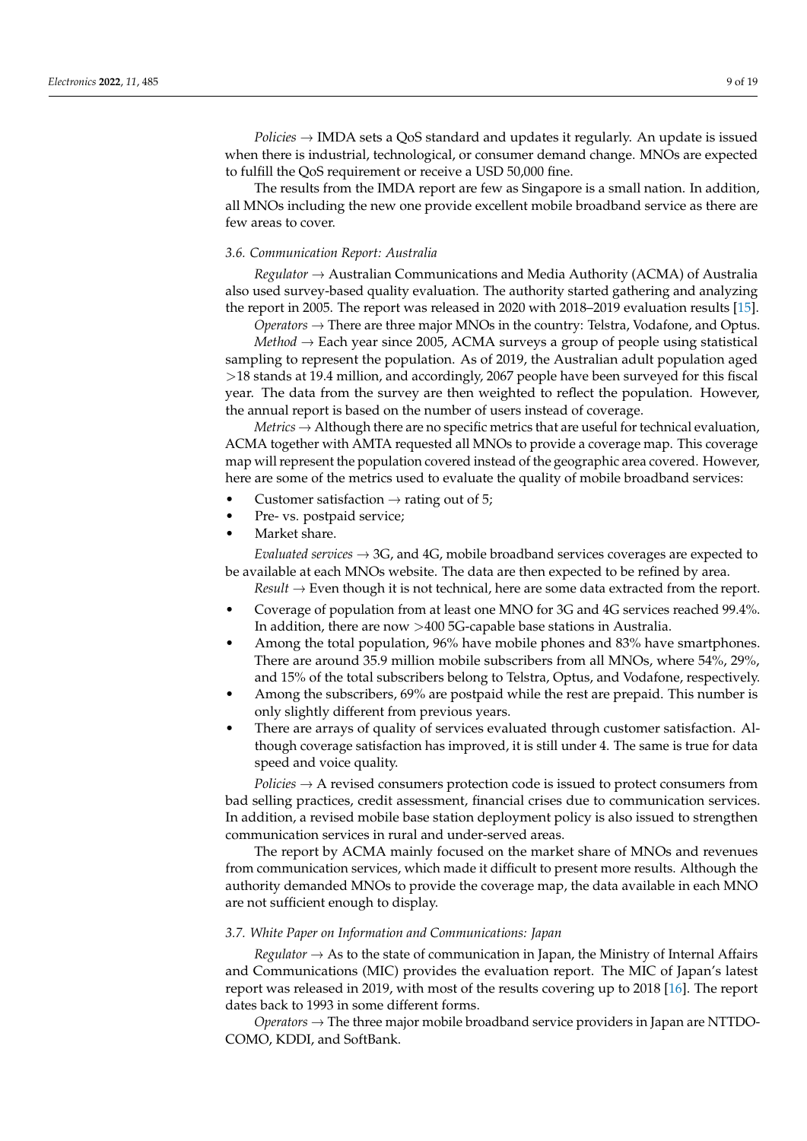*Policies* → IMDA sets a QoS standard and updates it regularly. An update is issued when there is industrial, technological, or consumer demand change. MNOs are expected to fulfill the QoS requirement or receive a USD 50,000 fine.

The results from the IMDA report are few as Singapore is a small nation. In addition, all MNOs including the new one provide excellent mobile broadband service as there are few areas to cover.

#### *3.6. Communication Report: Australia*

*Regulator* → Australian Communications and Media Authority (ACMA) of Australia also used survey-based quality evaluation. The authority started gathering and analyzing the report in 2005. The report was released in 2020 with 2018–2019 evaluation results [\[15\]](#page-17-14).

*Operators*  $\rightarrow$  There are three major MNOs in the country: Telstra, Vodafone, and Optus. *Method* → Each year since 2005, ACMA surveys a group of people using statistical sampling to represent the population. As of 2019, the Australian adult population aged >18 stands at 19.4 million, and accordingly, 2067 people have been surveyed for this fiscal year. The data from the survey are then weighted to reflect the population. However, the annual report is based on the number of users instead of coverage.

*Metrics*  $\rightarrow$  Although there are no specific metrics that are useful for technical evaluation, ACMA together with AMTA requested all MNOs to provide a coverage map. This coverage map will represent the population covered instead of the geographic area covered. However, here are some of the metrics used to evaluate the quality of mobile broadband services:

- Customer satisfaction  $\rightarrow$  rating out of 5;
- Pre- vs. postpaid service;
- Market share.

*Evaluated services* → 3G, and 4G, mobile broadband services coverages are expected to be available at each MNOs website. The data are then expected to be refined by area.

*Result* → Even though it is not technical, here are some data extracted from the report.

- Coverage of population from at least one MNO for 3G and 4G services reached 99.4%. In addition, there are now >400 5G-capable base stations in Australia.
- Among the total population, 96% have mobile phones and 83% have smartphones. There are around 35.9 million mobile subscribers from all MNOs, where 54%, 29%, and 15% of the total subscribers belong to Telstra, Optus, and Vodafone, respectively.
- Among the subscribers, 69% are postpaid while the rest are prepaid. This number is only slightly different from previous years.
- There are arrays of quality of services evaluated through customer satisfaction. Although coverage satisfaction has improved, it is still under 4. The same is true for data speed and voice quality.

*Policies* → A revised consumers protection code is issued to protect consumers from bad selling practices, credit assessment, financial crises due to communication services. In addition, a revised mobile base station deployment policy is also issued to strengthen communication services in rural and under-served areas.

The report by ACMA mainly focused on the market share of MNOs and revenues from communication services, which made it difficult to present more results. Although the authority demanded MNOs to provide the coverage map, the data available in each MNO are not sufficient enough to display.

#### *3.7. White Paper on Information and Communications: Japan*

*Regulator*  $\rightarrow$  As to the state of communication in Japan, the Ministry of Internal Affairs and Communications (MIC) provides the evaluation report. The MIC of Japan's latest report was released in 2019, with most of the results covering up to 2018 [\[16\]](#page-17-15). The report dates back to 1993 in some different forms.

*Operators*  $\rightarrow$  The three major mobile broadband service providers in Japan are NTTDO-COMO, KDDI, and SoftBank.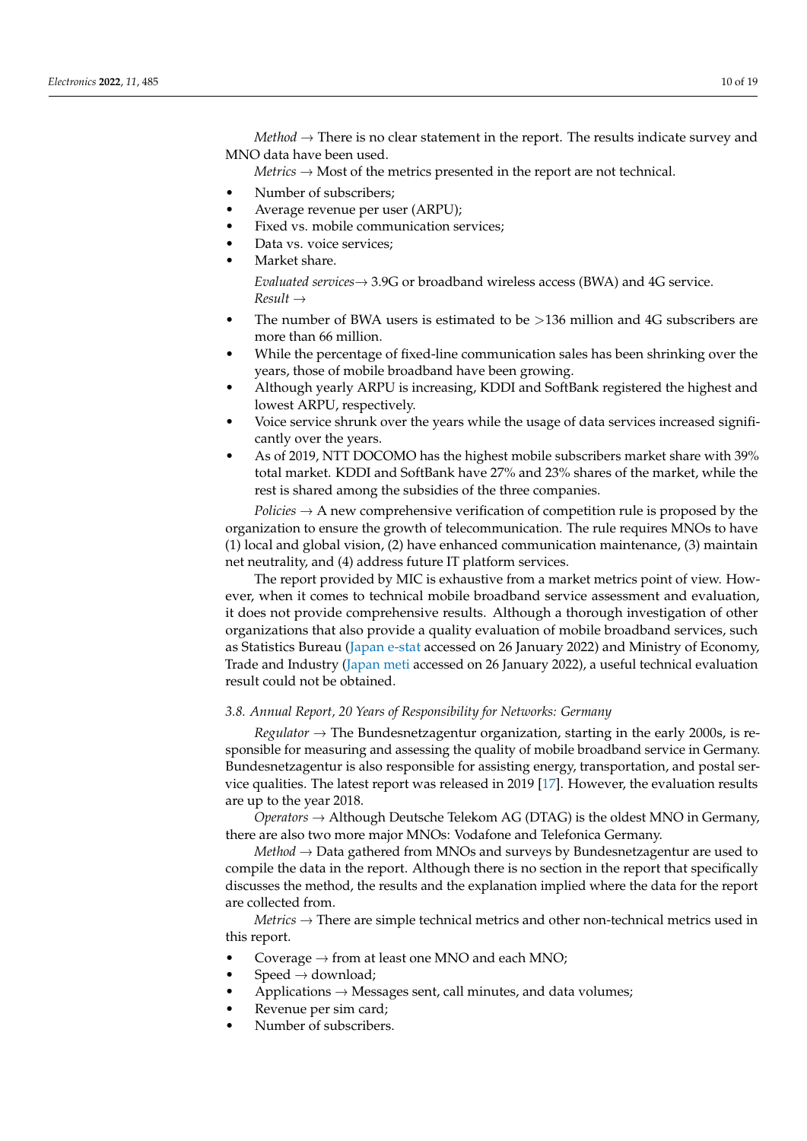*Method*  $\rightarrow$  There is no clear statement in the report. The results indicate survey and MNO data have been used.

*Metrics*  $\rightarrow$  Most of the metrics presented in the report are not technical.

- Number of subscribers;
- Average revenue per user (ARPU);
- Fixed vs. mobile communication services;
- Data vs. voice services:
- Market share.

*Evaluated services*→ 3.9G or broadband wireless access (BWA) and 4G service. *Result* →

- The number of BWA users is estimated to be  $>136$  million and 4G subscribers are more than 66 million.
- While the percentage of fixed-line communication sales has been shrinking over the years, those of mobile broadband have been growing.
- Although yearly ARPU is increasing, KDDI and SoftBank registered the highest and lowest ARPU, respectively.
- Voice service shrunk over the years while the usage of data services increased significantly over the years.
- As of 2019, NTT DOCOMO has the highest mobile subscribers market share with 39% total market. KDDI and SoftBank have 27% and 23% shares of the market, while the rest is shared among the subsidies of the three companies.

*Policies* → A new comprehensive verification of competition rule is proposed by the organization to ensure the growth of telecommunication. The rule requires MNOs to have (1) local and global vision, (2) have enhanced communication maintenance, (3) maintain net neutrality, and (4) address future IT platform services.

The report provided by MIC is exhaustive from a market metrics point of view. However, when it comes to technical mobile broadband service assessment and evaluation, it does not provide comprehensive results. Although a thorough investigation of other organizations that also provide a quality evaluation of mobile broadband services, such as Statistics Bureau [\(Japan e-stat](https://www.e-stat.go.jp/en) accessed on 26 January 2022) and Ministry of Economy, Trade and Industry [\(Japan meti](https://www.meti.go.jp/english/index.html) accessed on 26 January 2022), a useful technical evaluation result could not be obtained.

*3.8. Annual Report, 20 Years of Responsibility for Networks: Germany*

*Regulator* → The Bundesnetzagentur organization, starting in the early 2000s, is responsible for measuring and assessing the quality of mobile broadband service in Germany. Bundesnetzagentur is also responsible for assisting energy, transportation, and postal service qualities. The latest report was released in 2019 [\[17\]](#page-17-16). However, the evaluation results are up to the year 2018.

*Operators*  $\rightarrow$  Although Deutsche Telekom AG (DTAG) is the oldest MNO in Germany, there are also two more major MNOs: Vodafone and Telefonica Germany.

*Method* → Data gathered from MNOs and surveys by Bundesnetzagentur are used to compile the data in the report. Although there is no section in the report that specifically discusses the method, the results and the explanation implied where the data for the report are collected from.

*Metrics* → There are simple technical metrics and other non-technical metrics used in this report.

- Coverage  $\rightarrow$  from at least one MNO and each MNO;
- $Speed \rightarrow download;$
- Applications  $\rightarrow$  Messages sent, call minutes, and data volumes;
- Revenue per sim card;
- Number of subscribers.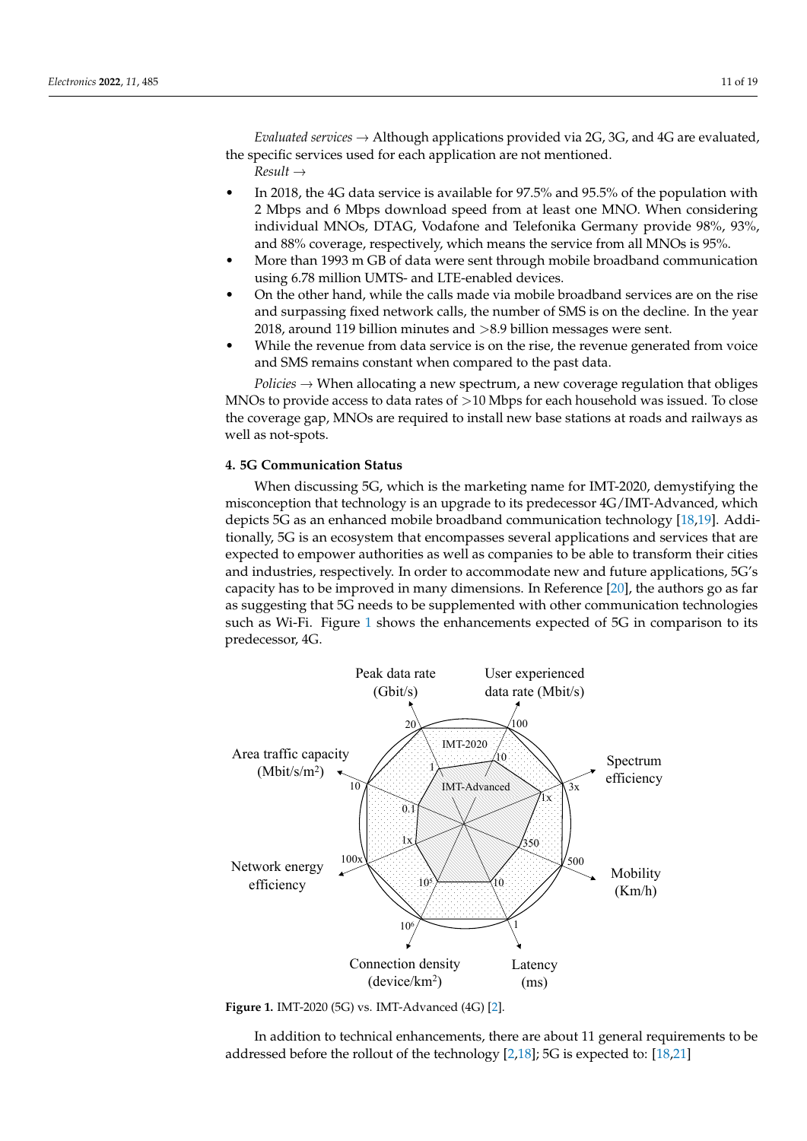*Evaluated services*  $\rightarrow$  Although applications provided via 2G, 3G, and 4G are evaluated, the specific services used for each application are not mentioned.

*Result* →

- In 2018, the 4G data service is available for 97.5% and 95.5% of the population with 2 Mbps and 6 Mbps download speed from at least one MNO. When considering individual MNOs, DTAG, Vodafone and Telefonika Germany provide 98%, 93%, and 88% coverage, respectively, which means the service from all MNOs is 95%.
- More than 1993 m GB of data were sent through mobile broadband communication using 6.78 million UMTS- and LTE-enabled devices.
- On the other hand, while the calls made via mobile broadband services are on the rise and surpassing fixed network calls, the number of SMS is on the decline. In the year 2018, around 119 billion minutes and >8.9 billion messages were sent.
- While the revenue from data service is on the rise, the revenue generated from voice and SMS remains constant when compared to the past data.

*Policies*  $\rightarrow$  When allocating a new spectrum, a new coverage regulation that obliges MNOs to provide access to data rates of  $>10$  Mbps for each household was issued. To close the coverage gap, MNOs are required to install new base stations at roads and railways as well as not-spots.

# <span id="page-10-0"></span>**4. 5G Communication Status**

When discussing 5G, which is the marketing name for IMT-2020, demystifying the misconception that technology is an upgrade to its predecessor 4G/IMT-Advanced, which depicts 5G as an enhanced mobile broadband communication technology [\[18](#page-18-0)[,19\]](#page-18-1). Additionally, 5G is an ecosystem that encompasses several applications and services that are expected to empower authorities as well as companies to be able to transform their cities and industries, respectively. In order to accommodate new and future applications, 5G's capacity has to be improved in many dimensions. In Reference [\[20\]](#page-18-2), the authors go as far as suggesting that 5G needs to be supplemented with other communication technologies such as Wi-Fi. Figure [1](#page-10-1) shows the enhancements expected of 5G in comparison to its predecessor, 4G.

<span id="page-10-1"></span>

**Figure 1.** IMT-2020 (5G) vs. IMT-Advanced (4G) [\[2\]](#page-17-1).

In addition to technical enhancements, there are about 11 general requirements to be addressed before the rollout of the technology [\[2,](#page-17-1)[18\]](#page-18-0); 5G is expected to: [\[18](#page-18-0)[,21\]](#page-18-3)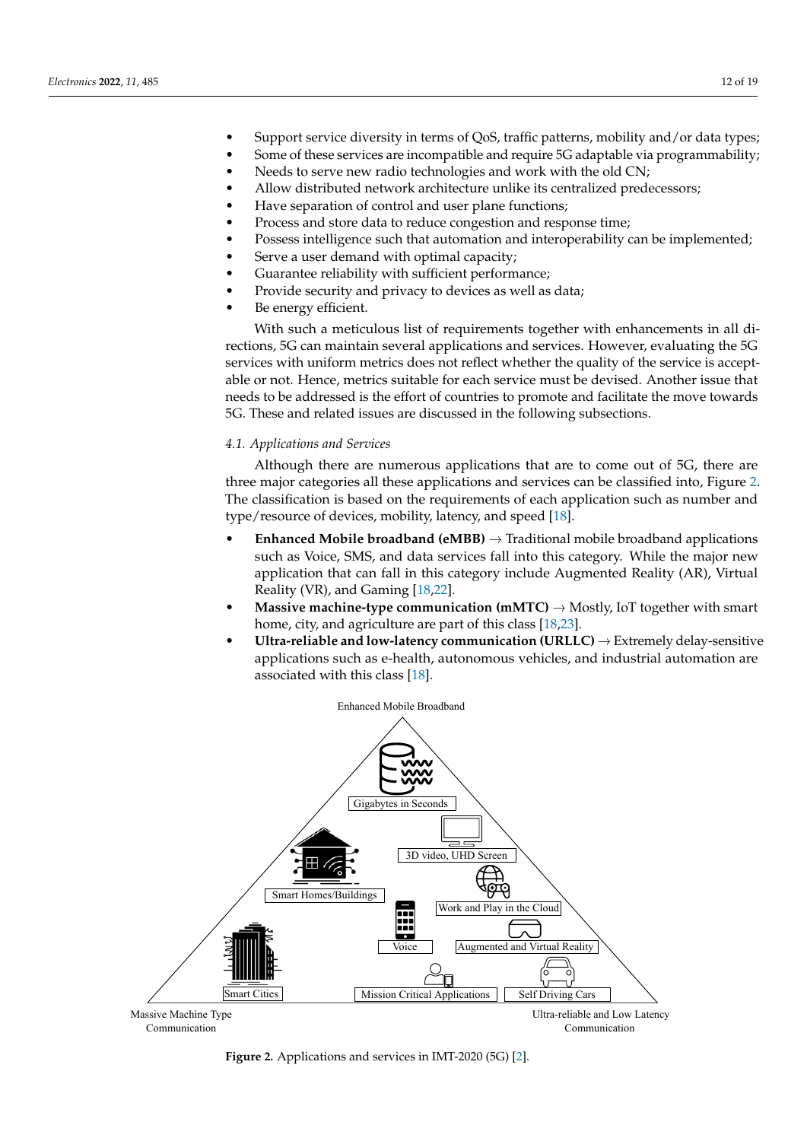- Support service diversity in terms of QoS, traffic patterns, mobility and/or data types;
- Some of these services are incompatible and require 5G adaptable via programmability;
- Needs to serve new radio technologies and work with the old CN;
- Allow distributed network architecture unlike its centralized predecessors;
- Have separation of control and user plane functions;
- Process and store data to reduce congestion and response time;
- Possess intelligence such that automation and interoperability can be implemented;
- Serve a user demand with optimal capacity;
- Guarantee reliability with sufficient performance;
- Provide security and privacy to devices as well as data;
- Be energy efficient.

With such a meticulous list of requirements together with enhancements in all directions, 5G can maintain several applications and services. However, evaluating the 5G services with uniform metrics does not reflect whether the quality of the service is acceptable or not. Hence, metrics suitable for each service must be devised. Another issue that needs to be addressed is the effort of countries to promote and facilitate the move towards 5G. These and related issues are discussed in the following subsections.

# *4.1. Applications and Services*

Although there are numerous applications that are to come out of 5G, there are three major categories all these applications and services can be classified into, Figure [2.](#page-11-0) The classification is based on the requirements of each application such as number and type/resource of devices, mobility, latency, and speed [\[18\]](#page-18-0).

- **Enhanced Mobile broadband (eMBB)**  $\rightarrow$  Traditional mobile broadband applications such as Voice, SMS, and data services fall into this category. While the major new application that can fall in this category include Augmented Reality (AR), Virtual Reality (VR), and Gaming [\[18,](#page-18-0)[22\]](#page-18-4).
- **Massive machine-type communication (mMTC)**  $\rightarrow$  Mostly, IoT together with smart home, city, and agriculture are part of this class [\[18,](#page-18-0)[23\]](#page-18-5).
- <span id="page-11-0"></span>**Ultra-reliable and low-latency communication (URLLC)**  $\rightarrow$  Extremely delay-sensitive applications such as e-health, autonomous vehicles, and industrial automation are associated with this class [\[18\]](#page-18-0).



**Figure 2.** Applications and services in IMT-2020 (5G) [\[2\]](#page-17-1).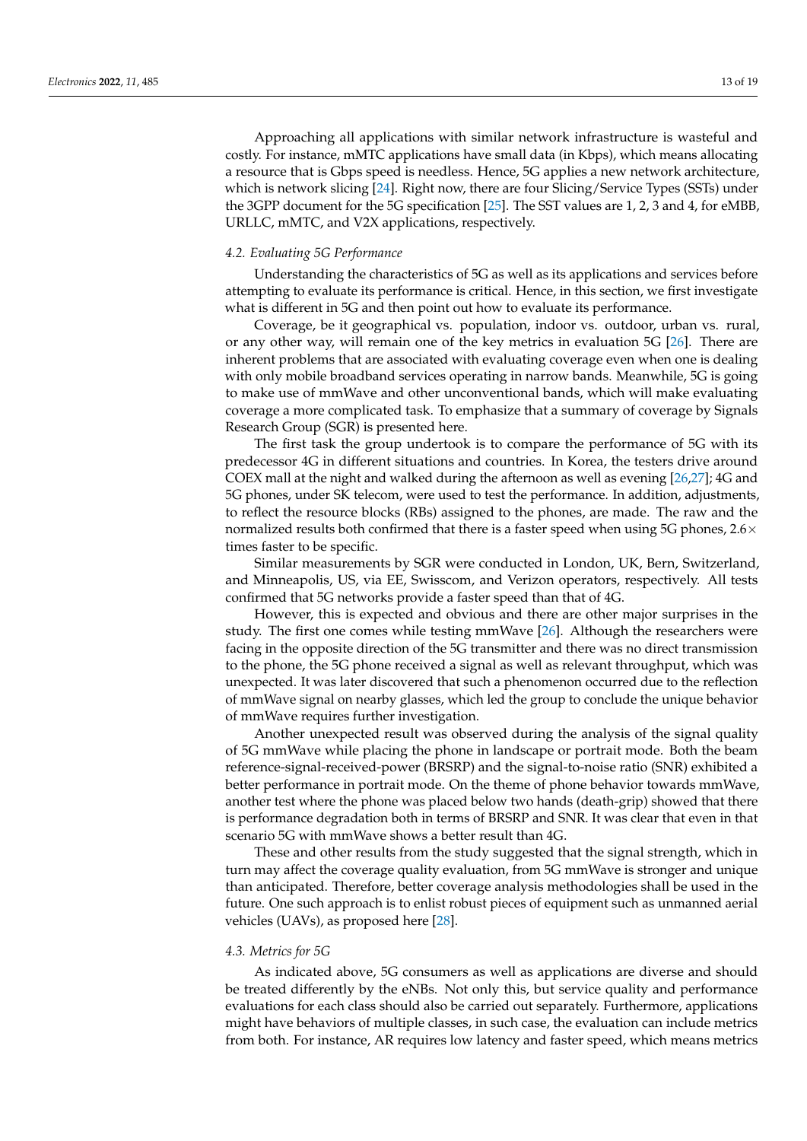Approaching all applications with similar network infrastructure is wasteful and costly. For instance, mMTC applications have small data (in Kbps), which means allocating a resource that is Gbps speed is needless. Hence, 5G applies a new network architecture, which is network slicing [\[24\]](#page-18-6). Right now, there are four Slicing/Service Types (SSTs) under the 3GPP document for the 5G specification [\[25\]](#page-18-7). The SST values are 1, 2, 3 and 4, for eMBB, URLLC, mMTC, and V2X applications, respectively.

#### *4.2. Evaluating 5G Performance*

Understanding the characteristics of 5G as well as its applications and services before attempting to evaluate its performance is critical. Hence, in this section, we first investigate what is different in 5G and then point out how to evaluate its performance.

Coverage, be it geographical vs. population, indoor vs. outdoor, urban vs. rural, or any other way, will remain one of the key metrics in evaluation 5G [\[26\]](#page-18-8). There are inherent problems that are associated with evaluating coverage even when one is dealing with only mobile broadband services operating in narrow bands. Meanwhile, 5G is going to make use of mmWave and other unconventional bands, which will make evaluating coverage a more complicated task. To emphasize that a summary of coverage by Signals Research Group (SGR) is presented here.

The first task the group undertook is to compare the performance of 5G with its predecessor 4G in different situations and countries. In Korea, the testers drive around COEX mall at the night and walked during the afternoon as well as evening [\[26,](#page-18-8)[27\]](#page-18-9); 4G and 5G phones, under SK telecom, were used to test the performance. In addition, adjustments, to reflect the resource blocks (RBs) assigned to the phones, are made. The raw and the normalized results both confirmed that there is a faster speed when using 5G phones,  $2.6\times$ times faster to be specific.

Similar measurements by SGR were conducted in London, UK, Bern, Switzerland, and Minneapolis, US, via EE, Swisscom, and Verizon operators, respectively. All tests confirmed that 5G networks provide a faster speed than that of 4G.

However, this is expected and obvious and there are other major surprises in the study. The first one comes while testing mmWave [\[26\]](#page-18-8). Although the researchers were facing in the opposite direction of the 5G transmitter and there was no direct transmission to the phone, the 5G phone received a signal as well as relevant throughput, which was unexpected. It was later discovered that such a phenomenon occurred due to the reflection of mmWave signal on nearby glasses, which led the group to conclude the unique behavior of mmWave requires further investigation.

Another unexpected result was observed during the analysis of the signal quality of 5G mmWave while placing the phone in landscape or portrait mode. Both the beam reference-signal-received-power (BRSRP) and the signal-to-noise ratio (SNR) exhibited a better performance in portrait mode. On the theme of phone behavior towards mmWave, another test where the phone was placed below two hands (death-grip) showed that there is performance degradation both in terms of BRSRP and SNR. It was clear that even in that scenario 5G with mmWave shows a better result than 4G.

These and other results from the study suggested that the signal strength, which in turn may affect the coverage quality evaluation, from 5G mmWave is stronger and unique than anticipated. Therefore, better coverage analysis methodologies shall be used in the future. One such approach is to enlist robust pieces of equipment such as unmanned aerial vehicles (UAVs), as proposed here [\[28\]](#page-18-10).

#### *4.3. Metrics for 5G*

As indicated above, 5G consumers as well as applications are diverse and should be treated differently by the eNBs. Not only this, but service quality and performance evaluations for each class should also be carried out separately. Furthermore, applications might have behaviors of multiple classes, in such case, the evaluation can include metrics from both. For instance, AR requires low latency and faster speed, which means metrics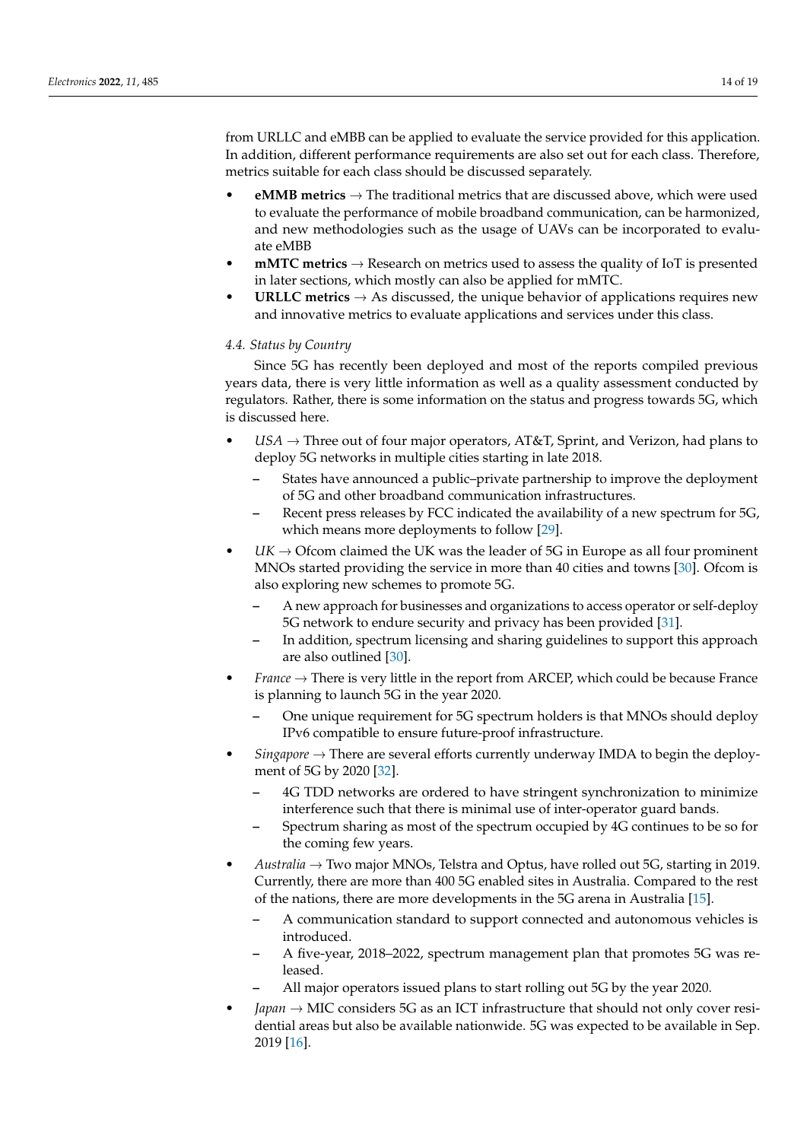from URLLC and eMBB can be applied to evaluate the service provided for this application. In addition, different performance requirements are also set out for each class. Therefore, metrics suitable for each class should be discussed separately.

- **eMMB metrics**  $\rightarrow$  The traditional metrics that are discussed above, which were used to evaluate the performance of mobile broadband communication, can be harmonized, and new methodologies such as the usage of UAVs can be incorporated to evaluate eMBB
- **mMTC metrics**  $\rightarrow$  Research on metrics used to assess the quality of IoT is presented in later sections, which mostly can also be applied for mMTC.
- **URLLC metrics**  $\rightarrow$  As discussed, the unique behavior of applications requires new and innovative metrics to evaluate applications and services under this class.

# *4.4. Status by Country*

Since 5G has recently been deployed and most of the reports compiled previous years data, there is very little information as well as a quality assessment conducted by regulators. Rather, there is some information on the status and progress towards 5G, which is discussed here.

- $USA \rightarrow Three$  out of four major operators,  $AT&T$ , Sprint, and Verizon, had plans to deploy 5G networks in multiple cities starting in late 2018.
	- **–** States have announced a public–private partnership to improve the deployment of 5G and other broadband communication infrastructures.
	- **–** Recent press releases by FCC indicated the availability of a new spectrum for 5G, which means more deployments to follow [\[29\]](#page-18-11).
- $UK \rightarrow$  Ofcom claimed the UK was the leader of 5G in Europe as all four prominent MNOs started providing the service in more than 40 cities and towns [\[30\]](#page-18-12). Ofcom is also exploring new schemes to promote 5G.
	- **–** A new approach for businesses and organizations to access operator or self-deploy 5G network to endure security and privacy has been provided [\[31\]](#page-18-13).
	- **–** In addition, spectrum licensing and sharing guidelines to support this approach are also outlined [\[30\]](#page-18-12).
- *France* → There is very little in the report from ARCEP, which could be because France is planning to launch 5G in the year 2020.
	- **–** One unique requirement for 5G spectrum holders is that MNOs should deploy IPv6 compatible to ensure future-proof infrastructure.
- *Singapore* → There are several efforts currently underway IMDA to begin the deployment of 5G by 2020 [\[32\]](#page-18-14).
	- **–** 4G TDD networks are ordered to have stringent synchronization to minimize interference such that there is minimal use of inter-operator guard bands.
	- **–** Spectrum sharing as most of the spectrum occupied by 4G continues to be so for the coming few years.
- *Australia* → Two major MNOs, Telstra and Optus, have rolled out 5G, starting in 2019. Currently, there are more than 400 5G enabled sites in Australia. Compared to the rest of the nations, there are more developments in the 5G arena in Australia [\[15\]](#page-17-14).
	- **–** A communication standard to support connected and autonomous vehicles is introduced.
	- **–** A five-year, 2018–2022, spectrum management plan that promotes 5G was released.
	- **–** All major operators issued plans to start rolling out 5G by the year 2020.
- *Japan* → MIC considers 5G as an ICT infrastructure that should not only cover residential areas but also be available nationwide. 5G was expected to be available in Sep. 2019 [\[16\]](#page-17-15).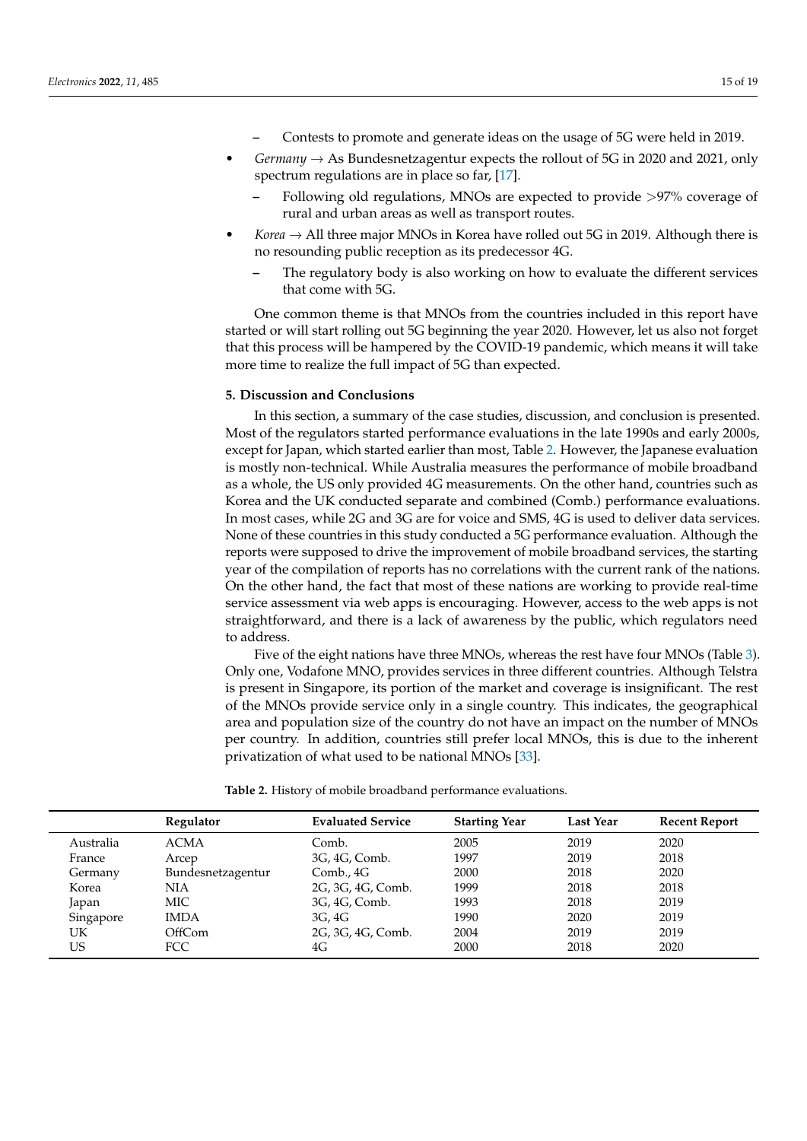- **–** Contests to promote and generate ideas on the usage of 5G were held in 2019.
- *Germany*  $\rightarrow$  As Bundesnetzagentur expects the rollout of 5G in 2020 and 2021, only spectrum regulations are in place so far, [\[17\]](#page-17-16).
	- **–** Following old regulations, MNOs are expected to provide >97% coverage of rural and urban areas as well as transport routes.
- *Korea*  $\rightarrow$  All three major MNOs in Korea have rolled out 5G in 2019. Although there is no resounding public reception as its predecessor 4G.
	- **–** The regulatory body is also working on how to evaluate the different services that come with 5G.

One common theme is that MNOs from the countries included in this report have started or will start rolling out 5G beginning the year 2020. However, let us also not forget that this process will be hampered by the COVID-19 pandemic, which means it will take more time to realize the full impact of 5G than expected.

# **5. Discussion and Conclusions**

In this section, a summary of the case studies, discussion, and conclusion is presented. Most of the regulators started performance evaluations in the late 1990s and early 2000s, except for Japan, which started earlier than most, Table [2.](#page-14-0) However, the Japanese evaluation is mostly non-technical. While Australia measures the performance of mobile broadband as a whole, the US only provided 4G measurements. On the other hand, countries such as Korea and the UK conducted separate and combined (Comb.) performance evaluations. In most cases, while 2G and 3G are for voice and SMS, 4G is used to deliver data services. None of these countries in this study conducted a 5G performance evaluation. Although the reports were supposed to drive the improvement of mobile broadband services, the starting year of the compilation of reports has no correlations with the current rank of the nations. On the other hand, the fact that most of these nations are working to provide real-time service assessment via web apps is encouraging. However, access to the web apps is not straightforward, and there is a lack of awareness by the public, which regulators need to address.

Five of the eight nations have three MNOs, whereas the rest have four MNOs (Table [3\)](#page-15-0). Only one, Vodafone MNO, provides services in three different countries. Although Telstra is present in Singapore, its portion of the market and coverage is insignificant. The rest of the MNOs provide service only in a single country. This indicates, the geographical area and population size of the country do not have an impact on the number of MNOs per country. In addition, countries still prefer local MNOs, this is due to the inherent privatization of what used to be national MNOs [\[33\]](#page-18-15).

<span id="page-14-0"></span>**Table 2.** History of mobile broadband performance evaluations.

|           | Regulator         | <b>Evaluated Service</b> | <b>Starting Year</b> | <b>Last Year</b> | <b>Recent Report</b> |
|-----------|-------------------|--------------------------|----------------------|------------------|----------------------|
| Australia | <b>ACMA</b>       | Comb.                    | 2005                 | 2019             | 2020                 |
| France    | Arcep             | 3G, 4G, Comb.<br>1997    |                      | 2019             | 2018                 |
| Germany   | Bundesnetzagentur | Comb., $4G$              | 2000                 | 2018             | 2020                 |
| Korea     | NIA               | 2G, 3G, 4G, Comb.        | 1999                 | 2018             | 2018                 |
| Japan     | MIC               | 3G, 4G, Comb.            | 1993                 | 2018             | 2019                 |
| Singapore | <b>IMDA</b>       | 3G, 4G                   | 1990                 | 2020             | 2019                 |
| UK        | OffCom            | 2G, 3G, 4G, Comb.        | 2004                 | 2019             | 2019                 |
| US        | <b>FCC</b>        | 4G                       |                      | 2018             | 2020                 |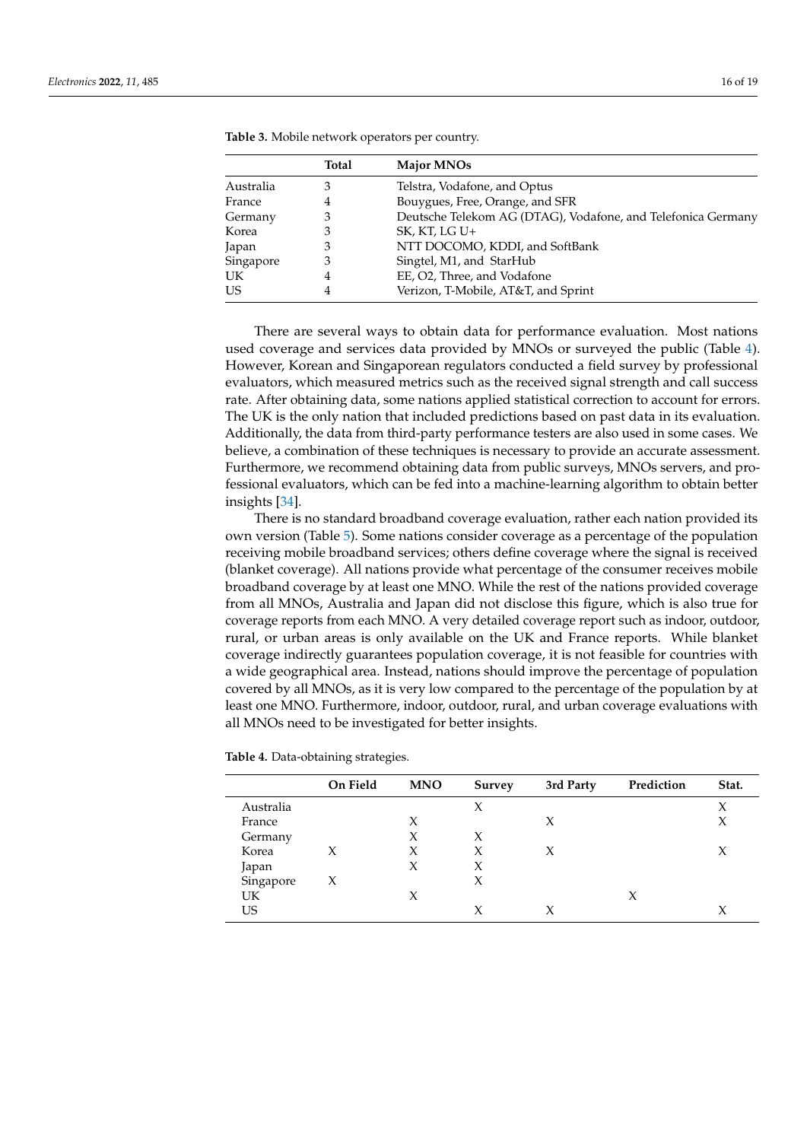|           | <b>Total</b> | <b>Major MNOs</b>                                            |
|-----------|--------------|--------------------------------------------------------------|
| Australia | З            | Telstra, Vodafone, and Optus                                 |
| France    | 4            | Bouygues, Free, Orange, and SFR                              |
| Germany   | З            | Deutsche Telekom AG (DTAG), Vodafone, and Telefonica Germany |
| Korea     | 3            | SK, KT, LG U+                                                |
| Japan     | З            | NTT DOCOMO, KDDI, and SoftBank                               |
| Singapore | З            | Singtel, M1, and StarHub                                     |
| UK        | 4            | EE, O2, Three, and Vodafone                                  |
| US        | 4            | Verizon, T-Mobile, AT&T, and Sprint                          |

<span id="page-15-0"></span>**Table 3.** Mobile network operators per country.

There are several ways to obtain data for performance evaluation. Most nations used coverage and services data provided by MNOs or surveyed the public (Table [4\)](#page-15-1). However, Korean and Singaporean regulators conducted a field survey by professional evaluators, which measured metrics such as the received signal strength and call success rate. After obtaining data, some nations applied statistical correction to account for errors. The UK is the only nation that included predictions based on past data in its evaluation. Additionally, the data from third-party performance testers are also used in some cases. We believe, a combination of these techniques is necessary to provide an accurate assessment. Furthermore, we recommend obtaining data from public surveys, MNOs servers, and professional evaluators, which can be fed into a machine-learning algorithm to obtain better insights [\[34\]](#page-18-16).

There is no standard broadband coverage evaluation, rather each nation provided its own version (Table [5\)](#page-16-0). Some nations consider coverage as a percentage of the population receiving mobile broadband services; others define coverage where the signal is received (blanket coverage). All nations provide what percentage of the consumer receives mobile broadband coverage by at least one MNO. While the rest of the nations provided coverage from all MNOs, Australia and Japan did not disclose this figure, which is also true for coverage reports from each MNO. A very detailed coverage report such as indoor, outdoor, rural, or urban areas is only available on the UK and France reports. While blanket coverage indirectly guarantees population coverage, it is not feasible for countries with a wide geographical area. Instead, nations should improve the percentage of population covered by all MNOs, as it is very low compared to the percentage of the population by at least one MNO. Furthermore, indoor, outdoor, rural, and urban coverage evaluations with all MNOs need to be investigated for better insights.

|           | On Field | <b>MNO</b> | <b>Survey</b> | 3rd Party | Prediction | Stat. |
|-----------|----------|------------|---------------|-----------|------------|-------|
| Australia |          |            | X             |           |            | X     |
| France    |          | X          |               | X         |            | X     |
| Germany   |          | X          | X             |           |            |       |
| Korea     | X        | X          | X             | X         |            | X     |
| Japan     |          | X          | X             |           |            |       |
| Singapore | X        |            | X             |           |            |       |
| <b>UK</b> |          | X          |               |           |            |       |
| US        |          |            | X             | X         |            | X     |

<span id="page-15-1"></span>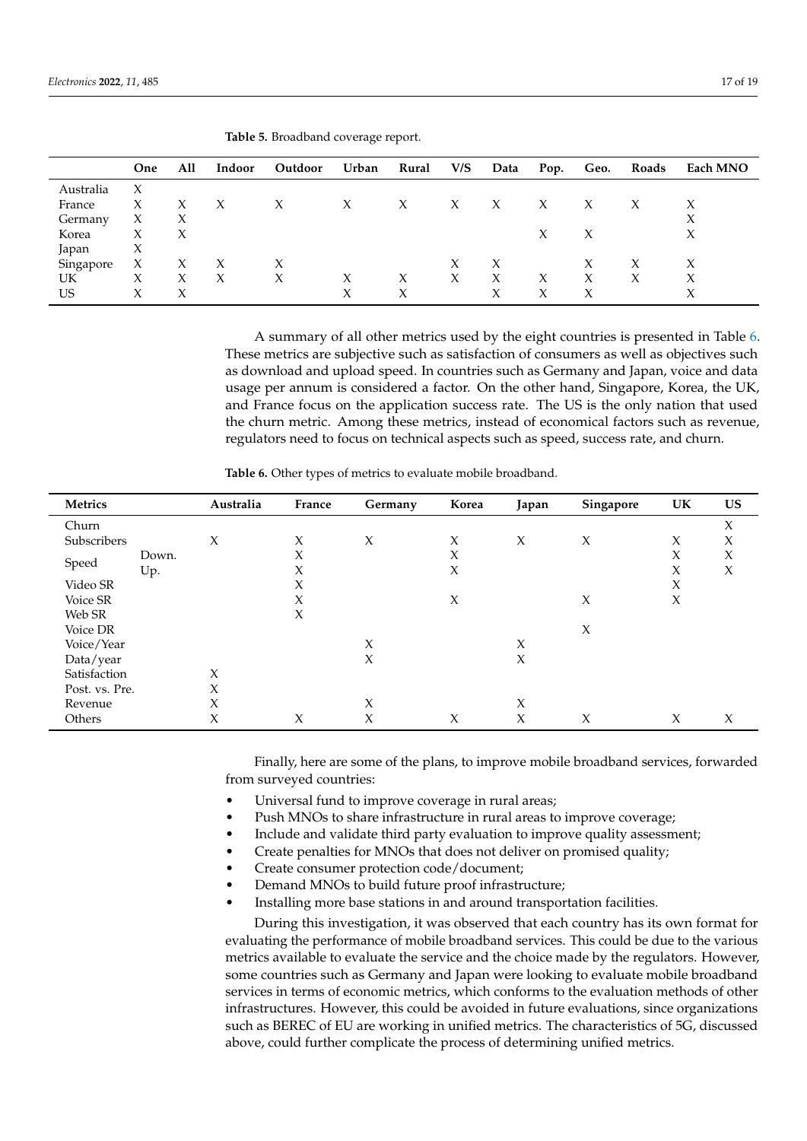|           | One                 | All | Indoor | Outdoor | Urban | Rural | V/S | Data | Pop. | Geo. | Roads | Each MNO |
|-----------|---------------------|-----|--------|---------|-------|-------|-----|------|------|------|-------|----------|
| Australia | X                   |     |        |         |       |       |     |      |      |      |       |          |
| France    | X                   | X   | X      | X       | X     | X     | Х   | Х    | X    |      |       |          |
| Germany   | X                   | X   |        |         |       |       |     |      |      |      |       | X        |
| Korea     | $\boldsymbol{\chi}$ | X   |        |         |       |       |     |      | X    |      |       | X        |
| Japan     | X                   |     |        |         |       |       |     |      |      |      |       |          |
| Singapore | X                   | X   | X      | X       |       |       | X   | X    |      |      |       | Х        |
| UK        | Х                   | X   | X      | Х       | X     | X     | X   | X    | X    | Х    | X     | Х        |
| US        | Х                   | Х   |        |         | Χ     | X     |     | Χ    | Χ    |      |       | Х        |

<span id="page-16-0"></span>**Table 5.** Broadband coverage report.

A summary of all other metrics used by the eight countries is presented in Table [6.](#page-16-1) These metrics are subjective such as satisfaction of consumers as well as objectives such as download and upload speed. In countries such as Germany and Japan, voice and data usage per annum is considered a factor. On the other hand, Singapore, Korea, the UK, and France focus on the application success rate. The US is the only nation that used the churn metric. Among these metrics, instead of economical factors such as revenue, regulators need to focus on technical aspects such as speed, success rate, and churn.

| Metrics        |       | Australia | France | Germany | Korea               | Japan  | Singapore           | UK     | <b>US</b> |
|----------------|-------|-----------|--------|---------|---------------------|--------|---------------------|--------|-----------|
| Churn          |       |           |        |         |                     |        |                     |        | X         |
| Subscribers    |       | $\chi$    | X      | X       | X                   | X      | $\boldsymbol{\chi}$ | X      | X         |
|                | Down. |           | X      |         | X                   |        |                     | X      | $\chi$    |
| Speed          | Up.   |           | X      |         | X                   |        |                     | X      | X         |
| Video SR       |       |           | X      |         |                     |        |                     | X      |           |
| Voice SR       |       |           | X      |         | $\boldsymbol{\chi}$ |        | $\chi$              | $\chi$ |           |
| Web SR         |       |           | X      |         |                     |        |                     |        |           |
| Voice DR       |       |           |        |         |                     |        | $\boldsymbol{\chi}$ |        |           |
| Voice/Year     |       |           |        | X       |                     | X      |                     |        |           |
| Data/year      |       |           |        | $\chi$  |                     | X      |                     |        |           |
| Satisfaction   |       | $\chi$    |        |         |                     |        |                     |        |           |
| Post. vs. Pre. |       | $\chi$    |        |         |                     |        |                     |        |           |
| Revenue        |       | X         |        | X       |                     | X      |                     |        |           |
| Others         |       | X         | X      | Χ       | X                   | $\chi$ | Х                   | X      | X         |

<span id="page-16-1"></span>**Table 6.** Other types of metrics to evaluate mobile broadband.

Finally, here are some of the plans, to improve mobile broadband services, forwarded from surveyed countries:

- Universal fund to improve coverage in rural areas;
- Push MNOs to share infrastructure in rural areas to improve coverage;
- Include and validate third party evaluation to improve quality assessment;
- Create penalties for MNOs that does not deliver on promised quality;
- Create consumer protection code/document;
- Demand MNOs to build future proof infrastructure;
- Installing more base stations in and around transportation facilities.

During this investigation, it was observed that each country has its own format for evaluating the performance of mobile broadband services. This could be due to the various metrics available to evaluate the service and the choice made by the regulators. However, some countries such as Germany and Japan were looking to evaluate mobile broadband services in terms of economic metrics, which conforms to the evaluation methods of other infrastructures. However, this could be avoided in future evaluations, since organizations such as BEREC of EU are working in unified metrics. The characteristics of 5G, discussed above, could further complicate the process of determining unified metrics.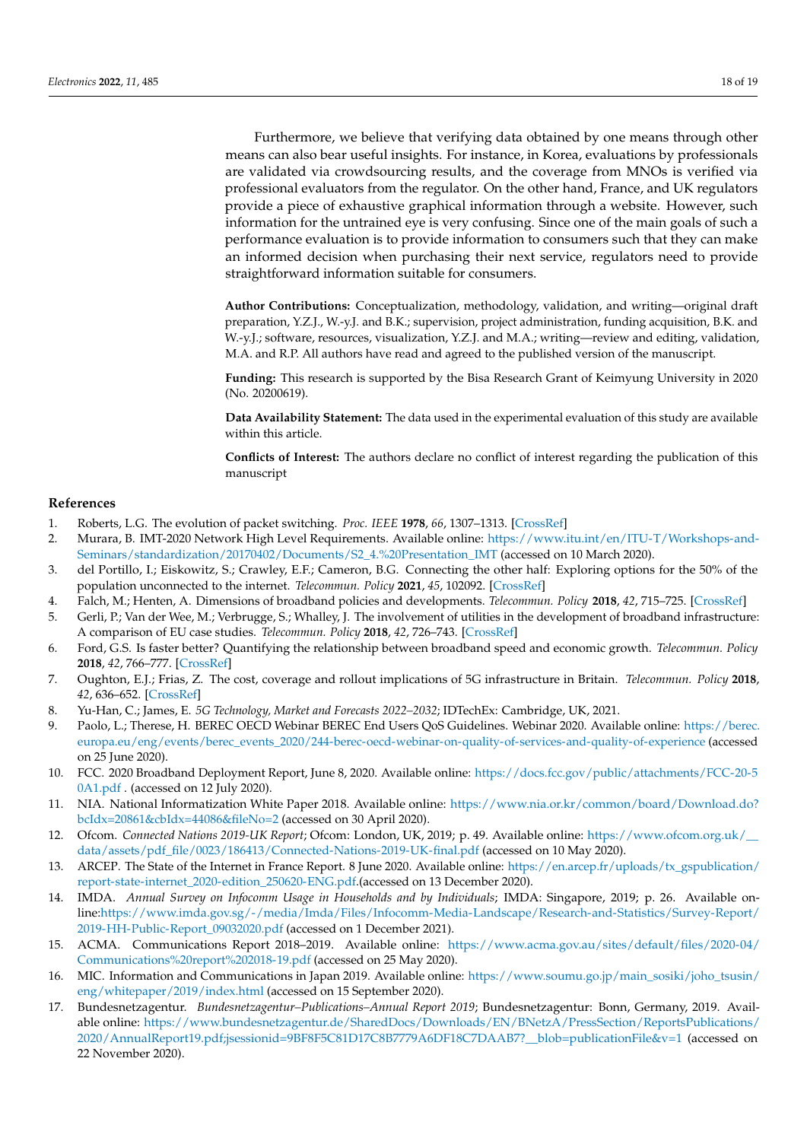Furthermore, we believe that verifying data obtained by one means through other means can also bear useful insights. For instance, in Korea, evaluations by professionals are validated via crowdsourcing results, and the coverage from MNOs is verified via professional evaluators from the regulator. On the other hand, France, and UK regulators provide a piece of exhaustive graphical information through a website. However, such information for the untrained eye is very confusing. Since one of the main goals of such a performance evaluation is to provide information to consumers such that they can make an informed decision when purchasing their next service, regulators need to provide straightforward information suitable for consumers.

**Author Contributions:** Conceptualization, methodology, validation, and writing—original draft preparation, Y.Z.J., W.-y.J. and B.K.; supervision, project administration, funding acquisition, B.K. and W.-y.J.; software, resources, visualization, Y.Z.J. and M.A.; writing—review and editing, validation, M.A. and R.P. All authors have read and agreed to the published version of the manuscript.

**Funding:** This research is supported by the Bisa Research Grant of Keimyung University in 2020 (No. 20200619).

**Data Availability Statement:** The data used in the experimental evaluation of this study are available within this article.

**Conflicts of Interest:** The authors declare no conflict of interest regarding the publication of this manuscript

#### **References**

- <span id="page-17-0"></span>1. Roberts, L.G. The evolution of packet switching. *Proc. IEEE* **1978**, *66*, 1307–1313. [\[CrossRef\]](http://doi.org/10.1109/PROC.1978.11141)
- <span id="page-17-1"></span>2. Murara, B. IMT-2020 Network High Level Requirements. Available online: [https://www.itu.int/en/ITU-T/Workshops-and-](https://www. itu. int/en/ITU-T/Workshops-and-Seminars/standardization/20170402/Documents/S2_4.% 20Presentation_IMT)[Seminars/standardization/20170402/Documents/S2\\_4.%20Presentation\\_IMT](https://www. itu. int/en/ITU-T/Workshops-and-Seminars/standardization/20170402/Documents/S2_4.% 20Presentation_IMT) (accessed on 10 March 2020).
- <span id="page-17-2"></span>3. del Portillo, I.; Eiskowitz, S.; Crawley, E.F.; Cameron, B.G. Connecting the other half: Exploring options for the 50% of the population unconnected to the internet. *Telecommun. Policy* **2021**, *45*, 102092. [\[CrossRef\]](http://dx.doi.org/10.1016/j.telpol.2020.102092)
- <span id="page-17-3"></span>4. Falch, M.; Henten, A. Dimensions of broadband policies and developments. *Telecommun. Policy* **2018**, *42*, 715–725. [\[CrossRef\]](http://dx.doi.org/10.1016/j.telpol.2017.11.004)
- <span id="page-17-4"></span>5. Gerli, P.; Van der Wee, M.; Verbrugge, S.; Whalley, J. The involvement of utilities in the development of broadband infrastructure: A comparison of EU case studies. *Telecommun. Policy* **2018**, *42*, 726–743. [\[CrossRef\]](http://dx.doi.org/10.1016/j.telpol.2018.03.001)
- <span id="page-17-5"></span>6. Ford, G.S. Is faster better? Quantifying the relationship between broadband speed and economic growth. *Telecommun. Policy* **2018**, *42*, 766–777. [\[CrossRef\]](http://dx.doi.org/10.1016/j.telpol.2018.05.006)
- <span id="page-17-6"></span>7. Oughton, E.J.; Frias, Z. The cost, coverage and rollout implications of 5G infrastructure in Britain. *Telecommun. Policy* **2018**, *42*, 636–652. [\[CrossRef\]](http://dx.doi.org/10.1016/j.telpol.2017.07.009)
- <span id="page-17-7"></span>8. Yu-Han, C.; James, E. *5G Technology, Market and Forecasts 2022–2032*; IDTechEx: Cambridge, UK, 2021.
- <span id="page-17-8"></span>9. Paolo, L.; Therese, H. BEREC OECD Webinar BEREC End Users QoS Guidelines. Webinar 2020. Available online: [https://berec.](https://berec.europa.eu/eng/events/berec_events_2020/244-berec-oecd-webinar-on-quality-of-services-and-quality-of-experience) [europa.eu/eng/events/berec\\_events\\_2020/244-berec-oecd-webinar-on-quality-of-services-and-quality-of-experience](https://berec.europa.eu/eng/events/berec_events_2020/244-berec-oecd-webinar-on-quality-of-services-and-quality-of-experience) (accessed on 25 June 2020).
- <span id="page-17-9"></span>10. FCC. 2020 Broadband Deployment Report, June 8, 2020. Available online: [https://docs.fcc.gov/public/attachments/FCC-20-5](https://docs.fcc.gov/public/attachments/FCC-20-50A1.pdf) [0A1.pdf](https://docs.fcc.gov/public/attachments/FCC-20-50A1.pdf) . (accessed on 12 July 2020).
- <span id="page-17-10"></span>11. NIA. National Informatization White Paper 2018. Available online: [https://www.nia.or.kr/common/board/Download.do?](https://www.nia.or.kr/common/board/Download.do?bcIdx=20861&cbIdx=44086&fileNo=2) [bcIdx=20861&cbIdx=44086&fileNo=2](https://www.nia.or.kr/common/board/Download.do?bcIdx=20861&cbIdx=44086&fileNo=2) (accessed on 30 April 2020).
- <span id="page-17-11"></span>12. Ofcom. *Connected Nations 2019-UK Report*; Ofcom: London, UK, 2019; p. 49. Available online: [https://www.ofcom.org.uk/\\_\\_](https://www.ofcom.org.uk/__data/assets/pdf_file/0023/186413/Connected-Nations-2019-UK-final.pdf) [data/assets/pdf\\_file/0023/186413/Connected-Nations-2019-UK-final.pdf](https://www.ofcom.org.uk/__data/assets/pdf_file/0023/186413/Connected-Nations-2019-UK-final.pdf) (accessed on 10 May 2020).
- <span id="page-17-12"></span>13. ARCEP. The State of the Internet in France Report. 8 June 2020. Available online: [https://en.arcep.fr/uploads/tx\\_gspublication/](https://en.arcep.fr/uploads/tx_gspublication/report-state-internet_2020-edition_250620-ENG.pdf) [report-state-internet\\_2020-edition\\_250620-ENG.pdf.](https://en.arcep.fr/uploads/tx_gspublication/report-state-internet_2020-edition_250620-ENG.pdf)(accessed on 13 December 2020).
- <span id="page-17-13"></span>14. IMDA. *Annual Survey on Infocomm Usage in Households and by Individuals*; IMDA: Singapore, 2019; p. 26. Available online[:https://www.imda.gov.sg/-/media/Imda/Files/Infocomm-Media-Landscape/Research-and-Statistics/Survey-Report/](https://www.imda.gov.sg/-/media/Imda/Files/Infocomm-Media-Landscape/Research-and-Statistics/Survey-Report/2019-HH-Public-Report_09032020.pdf) [2019-HH-Public-Report\\_09032020.pdf](https://www.imda.gov.sg/-/media/Imda/Files/Infocomm-Media-Landscape/Research-and-Statistics/Survey-Report/2019-HH-Public-Report_09032020.pdf) (accessed on 1 December 2021).
- <span id="page-17-14"></span>15. ACMA. Communications Report 2018–2019. Available online: [https://www.acma.gov.au/sites/default/files/2020-04/](https://www.acma.gov.au/sites/default/files/2020-04/Communications%20report%202018-19.pdf) [Communications%20report%202018-19.pdf](https://www.acma.gov.au/sites/default/files/2020-04/Communications%20report%202018-19.pdf) (accessed on 25 May 2020).
- <span id="page-17-15"></span>16. MIC. Information and Communications in Japan 2019. Available online: [https://www.soumu.go.jp/main\\_sosiki/joho\\_tsusin/](https://www.soumu.go.jp/main_sosiki/joho_tsusin/eng/whitepaper/2019/index.html) [eng/whitepaper/2019/index.html](https://www.soumu.go.jp/main_sosiki/joho_tsusin/eng/whitepaper/2019/index.html) (accessed on 15 September 2020).
- <span id="page-17-16"></span>17. Bundesnetzagentur. *Bundesnetzagentur–Publications–Annual Report 2019*; Bundesnetzagentur: Bonn, Germany, 2019. Available online: [https://www.bundesnetzagentur.de/SharedDocs/Downloads/EN/BNetzA/PressSection/ReportsPublications/](https://www.bundesnetzagentur.de/SharedDocs/Downloads/EN/BNetzA/PressSection/ReportsPublications/2020/AnnualReport19.pdf;jsessionid=9BF8F5C81D17C8B7779A6DF18C7DAAB7?__blob=publicationFile&v=1) [2020/AnnualReport19.pdf;jsessionid=9BF8F5C81D17C8B7779A6DF18C7DAAB7?\\_\\_blob=publicationFile&v=1](https://www.bundesnetzagentur.de/SharedDocs/Downloads/EN/BNetzA/PressSection/ReportsPublications/2020/AnnualReport19.pdf;jsessionid=9BF8F5C81D17C8B7779A6DF18C7DAAB7?__blob=publicationFile&v=1) (accessed on 22 November 2020).